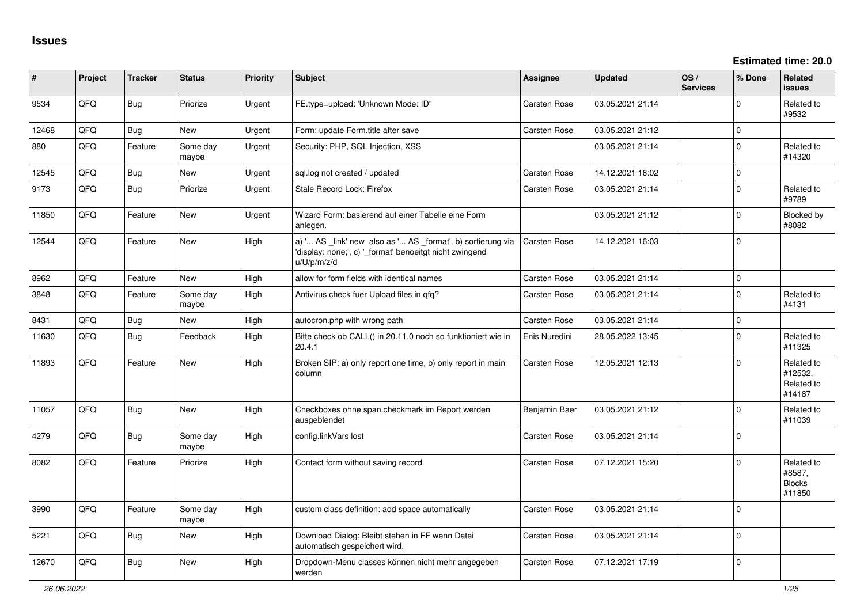| #     | Project | <b>Tracker</b> | <b>Status</b>     | <b>Priority</b> | <b>Subject</b>                                                                                                                        | Assignee            | <b>Updated</b>   | OS/<br><b>Services</b> | % Done       | Related<br><b>issues</b>                        |
|-------|---------|----------------|-------------------|-----------------|---------------------------------------------------------------------------------------------------------------------------------------|---------------------|------------------|------------------------|--------------|-------------------------------------------------|
| 9534  | QFQ     | Bug            | Priorize          | Urgent          | FE.type=upload: 'Unknown Mode: ID"                                                                                                    | <b>Carsten Rose</b> | 03.05.2021 21:14 |                        | $\Omega$     | Related to<br>#9532                             |
| 12468 | QFQ     | Bug            | New               | Urgent          | Form: update Form.title after save                                                                                                    | <b>Carsten Rose</b> | 03.05.2021 21:12 |                        | $\mathbf{0}$ |                                                 |
| 880   | QFQ     | Feature        | Some day<br>maybe | Urgent          | Security: PHP, SQL Injection, XSS                                                                                                     |                     | 03.05.2021 21:14 |                        | $\mathbf 0$  | Related to<br>#14320                            |
| 12545 | QFQ     | <b>Bug</b>     | New               | Urgent          | sql.log not created / updated                                                                                                         | Carsten Rose        | 14.12.2021 16:02 |                        | $\mathbf 0$  |                                                 |
| 9173  | QFQ     | Bug            | Priorize          | Urgent          | Stale Record Lock: Firefox                                                                                                            | <b>Carsten Rose</b> | 03.05.2021 21:14 |                        | $\Omega$     | Related to<br>#9789                             |
| 11850 | QFQ     | Feature        | <b>New</b>        | Urgent          | Wizard Form: basierend auf einer Tabelle eine Form<br>anlegen.                                                                        |                     | 03.05.2021 21:12 |                        | $\Omega$     | Blocked by<br>#8082                             |
| 12544 | QFQ     | Feature        | New               | High            | a) ' AS _link' new also as ' AS _format', b) sortierung via<br>'display: none;', c) '_format' benoeitgt nicht zwingend<br>u/U/p/m/z/d | <b>Carsten Rose</b> | 14.12.2021 16:03 |                        | $\mathbf 0$  |                                                 |
| 8962  | QFQ     | Feature        | <b>New</b>        | High            | allow for form fields with identical names                                                                                            | <b>Carsten Rose</b> | 03.05.2021 21:14 |                        | $\mathbf{0}$ |                                                 |
| 3848  | QFQ     | Feature        | Some day<br>maybe | High            | Antivirus check fuer Upload files in qfq?                                                                                             | <b>Carsten Rose</b> | 03.05.2021 21:14 |                        | $\Omega$     | Related to<br>#4131                             |
| 8431  | QFQ     | Bug            | <b>New</b>        | High            | autocron.php with wrong path                                                                                                          | <b>Carsten Rose</b> | 03.05.2021 21:14 |                        | $\mathbf 0$  |                                                 |
| 11630 | QFQ     | Bug            | Feedback          | High            | Bitte check ob CALL() in 20.11.0 noch so funktioniert wie in<br>20.4.1                                                                | Enis Nuredini       | 28.05.2022 13:45 |                        | $\Omega$     | Related to<br>#11325                            |
| 11893 | QFQ     | Feature        | <b>New</b>        | High            | Broken SIP: a) only report one time, b) only report in main<br>column                                                                 | <b>Carsten Rose</b> | 12.05.2021 12:13 |                        | $\Omega$     | Related to<br>#12532.<br>Related to<br>#14187   |
| 11057 | QFQ     | <b>Bug</b>     | New               | High            | Checkboxes ohne span.checkmark im Report werden<br>ausgeblendet                                                                       | Benjamin Baer       | 03.05.2021 21:12 |                        | $\Omega$     | Related to<br>#11039                            |
| 4279  | QFQ     | Bug            | Some day<br>maybe | High            | config.linkVars lost                                                                                                                  | <b>Carsten Rose</b> | 03.05.2021 21:14 |                        | $\Omega$     |                                                 |
| 8082  | QFQ     | Feature        | Priorize          | High            | Contact form without saving record                                                                                                    | Carsten Rose        | 07.12.2021 15:20 |                        | $\mathbf 0$  | Related to<br>#8587,<br><b>Blocks</b><br>#11850 |
| 3990  | QFQ     | Feature        | Some day<br>maybe | High            | custom class definition: add space automatically                                                                                      | Carsten Rose        | 03.05.2021 21:14 |                        | $\mathbf 0$  |                                                 |
| 5221  | QFQ     | Bug            | New               | High            | Download Dialog: Bleibt stehen in FF wenn Datei<br>automatisch gespeichert wird.                                                      | <b>Carsten Rose</b> | 03.05.2021 21:14 |                        | $\Omega$     |                                                 |
| 12670 | QFQ     | Bug            | <b>New</b>        | High            | Dropdown-Menu classes können nicht mehr angegeben<br>werden                                                                           | Carsten Rose        | 07.12.2021 17:19 |                        | $\Omega$     |                                                 |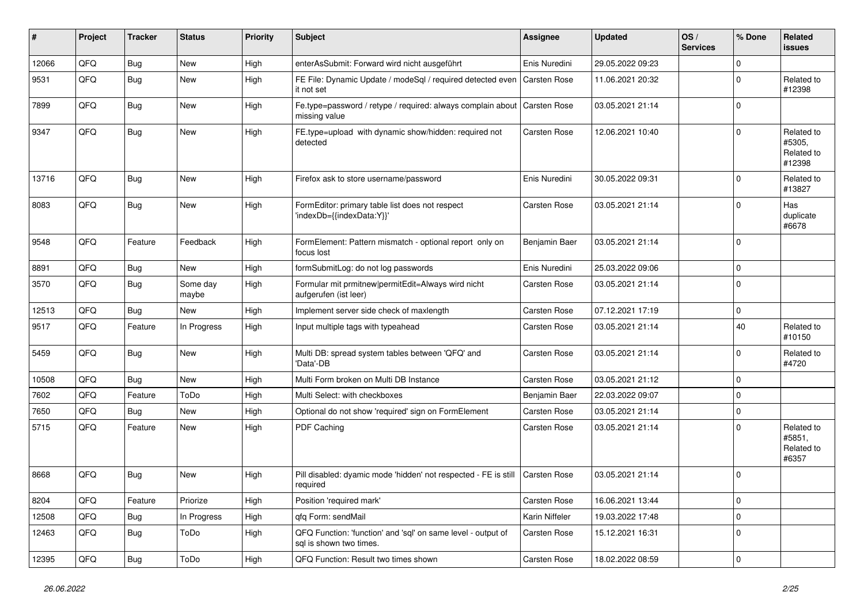| #     | Project | <b>Tracker</b> | <b>Status</b>     | <b>Priority</b> | <b>Subject</b>                                                                          | Assignee       | <b>Updated</b>   | OS/<br><b>Services</b> | % Done         | Related<br><b>issues</b>                     |
|-------|---------|----------------|-------------------|-----------------|-----------------------------------------------------------------------------------------|----------------|------------------|------------------------|----------------|----------------------------------------------|
| 12066 | QFQ     | Bug            | New               | High            | enterAsSubmit: Forward wird nicht ausgeführt                                            | Enis Nuredini  | 29.05.2022 09:23 |                        | $\mathbf 0$    |                                              |
| 9531  | QFQ     | Bug            | New               | High            | FE File: Dynamic Update / modeSql / required detected even<br>it not set                | Carsten Rose   | 11.06.2021 20:32 |                        | $\Omega$       | Related to<br>#12398                         |
| 7899  | QFQ     | Bug            | New               | High            | Fe.type=password / retype / required: always complain about<br>missing value            | Carsten Rose   | 03.05.2021 21:14 |                        | $\Omega$       |                                              |
| 9347  | QFQ     | Bug            | New               | High            | FE.type=upload with dynamic show/hidden: required not<br>detected                       | Carsten Rose   | 12.06.2021 10:40 |                        | $\Omega$       | Related to<br>#5305,<br>Related to<br>#12398 |
| 13716 | QFQ     | Bug            | <b>New</b>        | High            | Firefox ask to store username/password                                                  | Enis Nuredini  | 30.05.2022 09:31 |                        | $\Omega$       | Related to<br>#13827                         |
| 8083  | QFQ     | Bug            | New               | High            | FormEditor: primary table list does not respect<br>'indexDb={{indexData:Y}}'            | Carsten Rose   | 03.05.2021 21:14 |                        | $\Omega$       | Has<br>duplicate<br>#6678                    |
| 9548  | QFQ     | Feature        | Feedback          | High            | FormElement: Pattern mismatch - optional report only on<br>focus lost                   | Benjamin Baer  | 03.05.2021 21:14 |                        | $\mathbf 0$    |                                              |
| 8891  | QFQ     | Bug            | New               | High            | formSubmitLog: do not log passwords                                                     | Enis Nuredini  | 25.03.2022 09:06 |                        | $\mathbf 0$    |                                              |
| 3570  | QFQ     | <b>Bug</b>     | Some day<br>maybe | High            | Formular mit prmitnew permitEdit=Always wird nicht<br>aufgerufen (ist leer)             | Carsten Rose   | 03.05.2021 21:14 |                        | $\Omega$       |                                              |
| 12513 | QFQ     | Bug            | New               | High            | Implement server side check of maxlength                                                | Carsten Rose   | 07.12.2021 17:19 |                        | $\mathbf 0$    |                                              |
| 9517  | QFQ     | Feature        | In Progress       | High            | Input multiple tags with typeahead                                                      | Carsten Rose   | 03.05.2021 21:14 |                        | 40             | Related to<br>#10150                         |
| 5459  | QFQ     | Bug            | <b>New</b>        | High            | Multi DB: spread system tables between 'QFQ' and<br>'Data'-DB                           | Carsten Rose   | 03.05.2021 21:14 |                        | $\Omega$       | Related to<br>#4720                          |
| 10508 | QFQ     | Bug            | New               | High            | Multi Form broken on Multi DB Instance                                                  | Carsten Rose   | 03.05.2021 21:12 |                        | $\mathbf 0$    |                                              |
| 7602  | QFQ     | Feature        | ToDo              | High            | Multi Select: with checkboxes                                                           | Benjamin Baer  | 22.03.2022 09:07 |                        | $\mathbf 0$    |                                              |
| 7650  | QFQ     | Bug            | New               | High            | Optional do not show 'required' sign on FormElement                                     | Carsten Rose   | 03.05.2021 21:14 |                        | $\mathbf 0$    |                                              |
| 5715  | QFQ     | Feature        | <b>New</b>        | High            | PDF Caching                                                                             | Carsten Rose   | 03.05.2021 21:14 |                        | $\Omega$       | Related to<br>#5851,<br>Related to<br>#6357  |
| 8668  | QFQ     | Bug            | New               | High            | Pill disabled: dyamic mode 'hidden' not respected - FE is still<br>required             | Carsten Rose   | 03.05.2021 21:14 |                        | $\Omega$       |                                              |
| 8204  | QFQ     | Feature        | Priorize          | High            | Position 'required mark'                                                                | Carsten Rose   | 16.06.2021 13:44 |                        | $\overline{0}$ |                                              |
| 12508 | QFQ     | Bug            | In Progress       | High            | gfg Form: sendMail                                                                      | Karin Niffeler | 19.03.2022 17:48 |                        | $\mathbf 0$    |                                              |
| 12463 | QFQ     | <b>Bug</b>     | ToDo              | High            | QFQ Function: 'function' and 'sql' on same level - output of<br>sal is shown two times. | Carsten Rose   | 15.12.2021 16:31 |                        | $\mathbf 0$    |                                              |
| 12395 | QFQ     | <b>Bug</b>     | ToDo              | High            | QFQ Function: Result two times shown                                                    | Carsten Rose   | 18.02.2022 08:59 |                        | $\pmb{0}$      |                                              |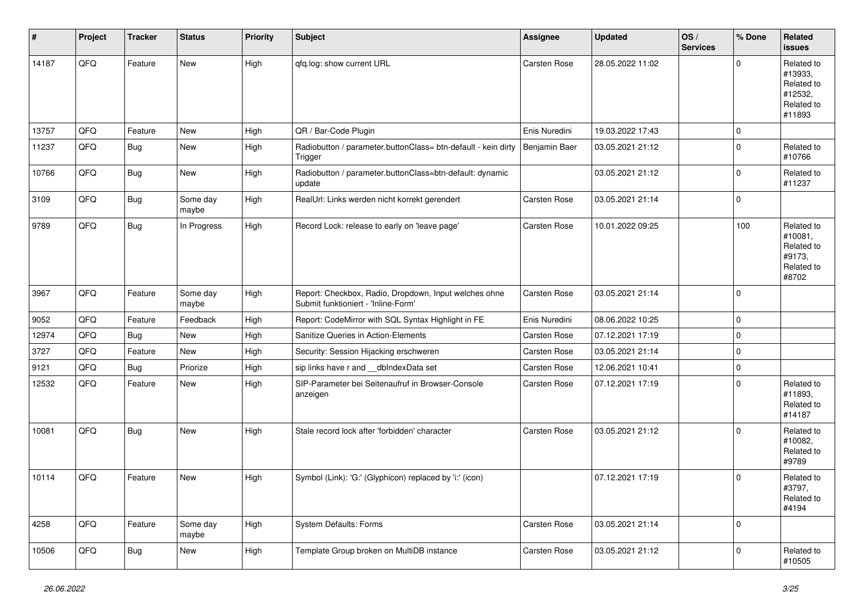| #     | Project | <b>Tracker</b> | <b>Status</b>     | <b>Priority</b> | <b>Subject</b>                                                                               | <b>Assignee</b> | <b>Updated</b>   | OS/<br><b>Services</b> | % Done      | Related<br><b>issues</b>                                               |
|-------|---------|----------------|-------------------|-----------------|----------------------------------------------------------------------------------------------|-----------------|------------------|------------------------|-------------|------------------------------------------------------------------------|
| 14187 | QFQ     | Feature        | <b>New</b>        | High            | qfq.log: show current URL                                                                    | Carsten Rose    | 28.05.2022 11:02 |                        | $\Omega$    | Related to<br>#13933,<br>Related to<br>#12532,<br>Related to<br>#11893 |
| 13757 | QFQ     | Feature        | New               | High            | QR / Bar-Code Plugin                                                                         | Enis Nuredini   | 19.03.2022 17:43 |                        | $\mathbf 0$ |                                                                        |
| 11237 | QFQ     | Bug            | New               | High            | Radiobutton / parameter.buttonClass= btn-default - kein dirty<br>Trigger                     | Benjamin Baer   | 03.05.2021 21:12 |                        | $\mathbf 0$ | Related to<br>#10766                                                   |
| 10766 | QFQ     | Bug            | New               | High            | Radiobutton / parameter.buttonClass=btn-default: dynamic<br>update                           |                 | 03.05.2021 21:12 |                        | $\mathbf 0$ | Related to<br>#11237                                                   |
| 3109  | QFQ     | Bug            | Some day<br>maybe | High            | RealUrl: Links werden nicht korrekt gerendert                                                | Carsten Rose    | 03.05.2021 21:14 |                        | $\mathbf 0$ |                                                                        |
| 9789  | QFQ     | Bug            | In Progress       | High            | Record Lock: release to early on 'leave page'                                                | Carsten Rose    | 10.01.2022 09:25 |                        | 100         | Related to<br>#10081,<br>Related to<br>#9173,<br>Related to<br>#8702   |
| 3967  | QFQ     | Feature        | Some day<br>maybe | High            | Report: Checkbox, Radio, Dropdown, Input welches ohne<br>Submit funktioniert - 'Inline-Form' | Carsten Rose    | 03.05.2021 21:14 |                        | $\Omega$    |                                                                        |
| 9052  | QFQ     | Feature        | Feedback          | High            | Report: CodeMirror with SQL Syntax Highlight in FE                                           | Enis Nuredini   | 08.06.2022 10:25 |                        | $\mathbf 0$ |                                                                        |
| 12974 | QFQ     | Bug            | New               | High            | Sanitize Queries in Action-Elements                                                          | Carsten Rose    | 07.12.2021 17:19 |                        | $\mathbf 0$ |                                                                        |
| 3727  | QFQ     | Feature        | <b>New</b>        | High            | Security: Session Hijacking erschweren                                                       | Carsten Rose    | 03.05.2021 21:14 |                        | $\mathbf 0$ |                                                                        |
| 9121  | QFQ     | Bug            | Priorize          | High            | sip links have r and __dbIndexData set                                                       | Carsten Rose    | 12.06.2021 10:41 |                        | $\mathbf 0$ |                                                                        |
| 12532 | QFQ     | Feature        | New               | High            | SIP-Parameter bei Seitenaufruf in Browser-Console<br>anzeigen                                | Carsten Rose    | 07.12.2021 17:19 |                        | $\Omega$    | Related to<br>#11893,<br>Related to<br>#14187                          |
| 10081 | QFQ     | Bug            | New               | High            | Stale record lock after 'forbidden' character                                                | Carsten Rose    | 03.05.2021 21:12 |                        | $\mathbf 0$ | Related to<br>#10082,<br>Related to<br>#9789                           |
| 10114 | QFQ     | Feature        | New               | High            | Symbol (Link): 'G:' (Glyphicon) replaced by 'i:' (icon)                                      |                 | 07.12.2021 17:19 |                        | $\Omega$    | Related to<br>#3797,<br>Related to<br>#4194                            |
| 4258  | QFG     | Feature        | Some day<br>maybe | High            | <b>System Defaults: Forms</b>                                                                | Carsten Rose    | 03.05.2021 21:14 |                        | $\mathbf 0$ |                                                                        |
| 10506 | QFQ     | Bug            | New               | High            | Template Group broken on MultiDB instance                                                    | Carsten Rose    | 03.05.2021 21:12 |                        | $\mathbf 0$ | Related to<br>#10505                                                   |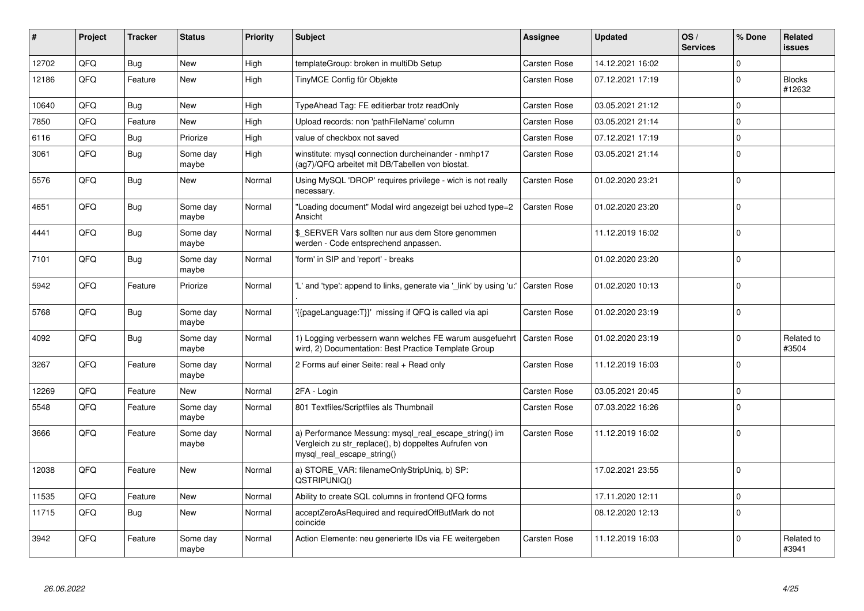| ∦     | Project | <b>Tracker</b> | <b>Status</b>     | <b>Priority</b> | <b>Subject</b>                                                                                                                               | Assignee     | <b>Updated</b>   | OS/<br><b>Services</b> | % Done      | Related<br><b>issues</b> |
|-------|---------|----------------|-------------------|-----------------|----------------------------------------------------------------------------------------------------------------------------------------------|--------------|------------------|------------------------|-------------|--------------------------|
| 12702 | QFQ     | Bug            | <b>New</b>        | High            | templateGroup: broken in multiDb Setup                                                                                                       | Carsten Rose | 14.12.2021 16:02 |                        | $\Omega$    |                          |
| 12186 | QFQ     | Feature        | <b>New</b>        | High            | TinyMCE Config für Objekte                                                                                                                   | Carsten Rose | 07.12.2021 17:19 |                        | $\Omega$    | <b>Blocks</b><br>#12632  |
| 10640 | QFQ     | Bug            | <b>New</b>        | High            | TypeAhead Tag: FE editierbar trotz readOnly                                                                                                  | Carsten Rose | 03.05.2021 21:12 |                        | $\Omega$    |                          |
| 7850  | QFQ     | Feature        | <b>New</b>        | High            | Upload records: non 'pathFileName' column                                                                                                    | Carsten Rose | 03.05.2021 21:14 |                        | $\Omega$    |                          |
| 6116  | QFQ     | Bug            | Priorize          | High            | value of checkbox not saved                                                                                                                  | Carsten Rose | 07.12.2021 17:19 |                        | $\mathbf 0$ |                          |
| 3061  | QFQ     | <b>Bug</b>     | Some day<br>maybe | High            | winstitute: mysql connection durcheinander - nmhp17<br>(ag7)/QFQ arbeitet mit DB/Tabellen von biostat.                                       | Carsten Rose | 03.05.2021 21:14 |                        | $\Omega$    |                          |
| 5576  | QFQ     | Bug            | <b>New</b>        | Normal          | Using MySQL 'DROP' requires privilege - wich is not really<br>necessary.                                                                     | Carsten Rose | 01.02.2020 23:21 |                        | $\Omega$    |                          |
| 4651  | QFQ     | <b>Bug</b>     | Some day<br>maybe | Normal          | "Loading document" Modal wird angezeigt bei uzhcd type=2<br>Ansicht                                                                          | Carsten Rose | 01.02.2020 23:20 |                        | $\Omega$    |                          |
| 4441  | QFQ     | <b>Bug</b>     | Some day<br>maybe | Normal          | \$ SERVER Vars sollten nur aus dem Store genommen<br>werden - Code entsprechend anpassen.                                                    |              | 11.12.2019 16:02 |                        | $\Omega$    |                          |
| 7101  | QFQ     | Bug            | Some day<br>maybe | Normal          | 'form' in SIP and 'report' - breaks                                                                                                          |              | 01.02.2020 23:20 |                        | $\Omega$    |                          |
| 5942  | QFQ     | Feature        | Priorize          | Normal          | "L' and 'type': append to links, generate via 'link' by using 'u:"                                                                           | Carsten Rose | 01.02.2020 10:13 |                        | $\Omega$    |                          |
| 5768  | QFQ     | Bug            | Some day<br>maybe | Normal          | {{pageLanguage:T}}' missing if QFQ is called via api                                                                                         | Carsten Rose | 01.02.2020 23:19 |                        | $\Omega$    |                          |
| 4092  | QFQ     | Bug            | Some day<br>maybe | Normal          | 1) Logging verbessern wann welches FE warum ausgefuehrt<br>wird, 2) Documentation: Best Practice Template Group                              | Carsten Rose | 01.02.2020 23:19 |                        | $\Omega$    | Related to<br>#3504      |
| 3267  | QFQ     | Feature        | Some day<br>maybe | Normal          | 2 Forms auf einer Seite: real + Read only                                                                                                    | Carsten Rose | 11.12.2019 16:03 |                        | $\Omega$    |                          |
| 12269 | QFQ     | Feature        | New               | Normal          | 2FA - Login                                                                                                                                  | Carsten Rose | 03.05.2021 20:45 |                        | $\Omega$    |                          |
| 5548  | QFQ     | Feature        | Some day<br>maybe | Normal          | 801 Textfiles/Scriptfiles als Thumbnail                                                                                                      | Carsten Rose | 07.03.2022 16:26 |                        | $\Omega$    |                          |
| 3666  | QFQ     | Feature        | Some day<br>maybe | Normal          | a) Performance Messung: mysql_real_escape_string() im<br>Vergleich zu str_replace(), b) doppeltes Aufrufen von<br>mysql real escape string() | Carsten Rose | 11.12.2019 16:02 |                        | $\Omega$    |                          |
| 12038 | QFQ     | Feature        | <b>New</b>        | Normal          | a) STORE_VAR: filenameOnlyStripUniq, b) SP:<br>QSTRIPUNIQ()                                                                                  |              | 17.02.2021 23:55 |                        | $\Omega$    |                          |
| 11535 | QFQ     | Feature        | New               | Normal          | Ability to create SQL columns in frontend QFQ forms                                                                                          |              | 17.11.2020 12:11 |                        | 0           |                          |
| 11715 | QFQ     | Bug            | <b>New</b>        | Normal          | acceptZeroAsRequired and requiredOffButMark do not<br>coincide                                                                               |              | 08.12.2020 12:13 |                        | $\Omega$    |                          |
| 3942  | QFQ     | Feature        | Some day<br>maybe | Normal          | Action Elemente: neu generierte IDs via FE weitergeben                                                                                       | Carsten Rose | 11.12.2019 16:03 |                        | $\Omega$    | Related to<br>#3941      |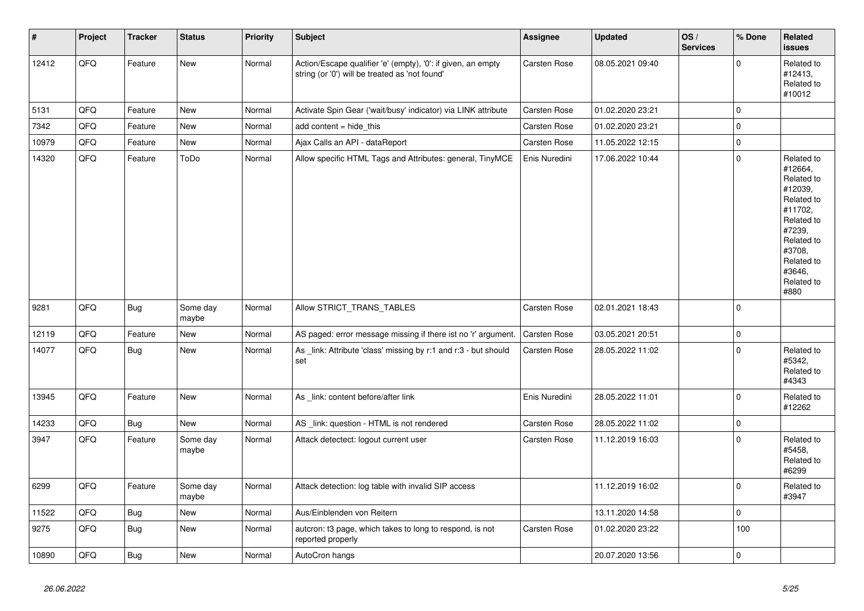| $\vert$ # | Project | <b>Tracker</b> | <b>Status</b>     | Priority | Subject                                                                                                        | Assignee            | <b>Updated</b>   | OS/<br><b>Services</b> | % Done         | Related<br><b>issues</b>                                                                                                                                              |
|-----------|---------|----------------|-------------------|----------|----------------------------------------------------------------------------------------------------------------|---------------------|------------------|------------------------|----------------|-----------------------------------------------------------------------------------------------------------------------------------------------------------------------|
| 12412     | QFQ     | Feature        | New               | Normal   | Action/Escape qualifier 'e' (empty), '0': if given, an empty<br>string (or '0') will be treated as 'not found' | Carsten Rose        | 08.05.2021 09:40 |                        | $\mathbf 0$    | Related to<br>#12413,<br>Related to<br>#10012                                                                                                                         |
| 5131      | QFQ     | Feature        | New               | Normal   | Activate Spin Gear ('wait/busy' indicator) via LINK attribute                                                  | Carsten Rose        | 01.02.2020 23:21 |                        | $\pmb{0}$      |                                                                                                                                                                       |
| 7342      | QFQ     | Feature        | <b>New</b>        | Normal   | add content $=$ hide this                                                                                      | Carsten Rose        | 01.02.2020 23:21 |                        | $\overline{0}$ |                                                                                                                                                                       |
| 10979     | QFQ     | Feature        | New               | Normal   | Ajax Calls an API - dataReport                                                                                 | Carsten Rose        | 11.05.2022 12:15 |                        | $\pmb{0}$      |                                                                                                                                                                       |
| 14320     | QFQ     | Feature        | ToDo              | Normal   | Allow specific HTML Tags and Attributes: general, TinyMCE                                                      | Enis Nuredini       | 17.06.2022 10:44 |                        | $\mathbf 0$    | Related to<br>#12664,<br>Related to<br>#12039.<br>Related to<br>#11702,<br>Related to<br>#7239,<br>Related to<br>#3708,<br>Related to<br>#3646,<br>Related to<br>#880 |
| 9281      | QFQ     | <b>Bug</b>     | Some day<br>maybe | Normal   | Allow STRICT_TRANS_TABLES                                                                                      | Carsten Rose        | 02.01.2021 18:43 |                        | $\overline{0}$ |                                                                                                                                                                       |
| 12119     | QFQ     | Feature        | <b>New</b>        | Normal   | AS paged: error message missing if there ist no 'r' argument.                                                  | Carsten Rose        | 03.05.2021 20:51 |                        | $\overline{0}$ |                                                                                                                                                                       |
| 14077     | QFQ     | Bug            | <b>New</b>        | Normal   | As _link: Attribute 'class' missing by r:1 and r:3 - but should<br>set                                         | <b>Carsten Rose</b> | 28.05.2022 11:02 |                        | $\pmb{0}$      | Related to<br>#5342,<br>Related to<br>#4343                                                                                                                           |
| 13945     | QFQ     | Feature        | <b>New</b>        | Normal   | As link: content before/after link                                                                             | Enis Nuredini       | 28.05.2022 11:01 |                        | $\overline{0}$ | Related to<br>#12262                                                                                                                                                  |
| 14233     | QFQ     | <b>Bug</b>     | New               | Normal   | AS _link: question - HTML is not rendered                                                                      | Carsten Rose        | 28.05.2022 11:02 |                        | $\pmb{0}$      |                                                                                                                                                                       |
| 3947      | QFQ     | Feature        | Some day<br>maybe | Normal   | Attack detectect: logout current user                                                                          | Carsten Rose        | 11.12.2019 16:03 |                        | $\Omega$       | Related to<br>#5458,<br>Related to<br>#6299                                                                                                                           |
| 6299      | QFQ     | Feature        | Some day<br>maybe | Normal   | Attack detection: log table with invalid SIP access                                                            |                     | 11.12.2019 16:02 |                        | $\overline{0}$ | Related to<br>#3947                                                                                                                                                   |
| 11522     | QFQ     | Bug            | New               | Normal   | Aus/Einblenden von Reitern                                                                                     |                     | 13.11.2020 14:58 |                        | $\pmb{0}$      |                                                                                                                                                                       |
| 9275      | QFQ     | <b>Bug</b>     | New               | Normal   | autcron: t3 page, which takes to long to respond, is not<br>reported properly                                  | Carsten Rose        | 01.02.2020 23:22 |                        | 100            |                                                                                                                                                                       |
| 10890     | QFQ     | <b>Bug</b>     | New               | Normal   | AutoCron hangs                                                                                                 |                     | 20.07.2020 13:56 |                        | $\overline{0}$ |                                                                                                                                                                       |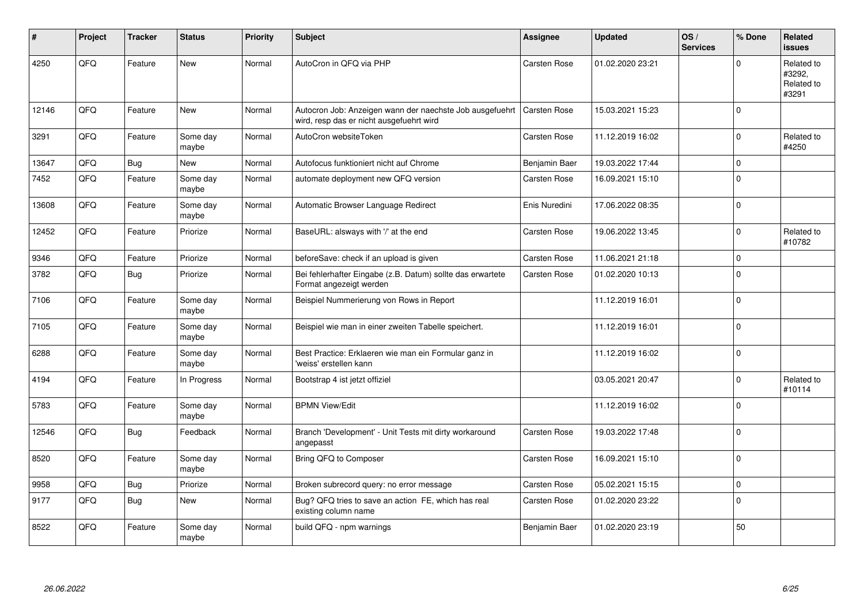| #     | Project | <b>Tracker</b> | <b>Status</b>     | <b>Priority</b> | <b>Subject</b>                                                                                       | <b>Assignee</b>     | <b>Updated</b>   | OS/<br><b>Services</b> | % Done         | Related<br><b>issues</b>                    |
|-------|---------|----------------|-------------------|-----------------|------------------------------------------------------------------------------------------------------|---------------------|------------------|------------------------|----------------|---------------------------------------------|
| 4250  | QFQ     | Feature        | <b>New</b>        | Normal          | AutoCron in QFQ via PHP                                                                              | Carsten Rose        | 01.02.2020 23:21 |                        | $\Omega$       | Related to<br>#3292,<br>Related to<br>#3291 |
| 12146 | QFQ     | Feature        | <b>New</b>        | Normal          | Autocron Job: Anzeigen wann der naechste Job ausgefuehrt<br>wird, resp das er nicht ausgefuehrt wird | <b>Carsten Rose</b> | 15.03.2021 15:23 |                        | $\overline{0}$ |                                             |
| 3291  | QFQ     | Feature        | Some day<br>maybe | Normal          | AutoCron websiteToken                                                                                | Carsten Rose        | 11.12.2019 16:02 |                        | $\mathbf 0$    | Related to<br>#4250                         |
| 13647 | QFQ     | Bug            | <b>New</b>        | Normal          | Autofocus funktioniert nicht auf Chrome                                                              | Benjamin Baer       | 19.03.2022 17:44 |                        | $\overline{0}$ |                                             |
| 7452  | QFQ     | Feature        | Some day<br>maybe | Normal          | automate deployment new QFQ version                                                                  | Carsten Rose        | 16.09.2021 15:10 |                        | $\overline{0}$ |                                             |
| 13608 | QFQ     | Feature        | Some day<br>maybe | Normal          | Automatic Browser Language Redirect                                                                  | Enis Nuredini       | 17.06.2022 08:35 |                        | $\overline{0}$ |                                             |
| 12452 | QFQ     | Feature        | Priorize          | Normal          | BaseURL: alsways with '/' at the end                                                                 | Carsten Rose        | 19.06.2022 13:45 |                        | $\mathbf 0$    | Related to<br>#10782                        |
| 9346  | QFQ     | Feature        | Priorize          | Normal          | beforeSave: check if an upload is given                                                              | Carsten Rose        | 11.06.2021 21:18 |                        | $\mathbf{0}$   |                                             |
| 3782  | QFQ     | Bug            | Priorize          | Normal          | Bei fehlerhafter Eingabe (z.B. Datum) sollte das erwartete<br>Format angezeigt werden                | Carsten Rose        | 01.02.2020 10:13 |                        | $\overline{0}$ |                                             |
| 7106  | QFQ     | Feature        | Some day<br>maybe | Normal          | Beispiel Nummerierung von Rows in Report                                                             |                     | 11.12.2019 16:01 |                        | $\mathbf 0$    |                                             |
| 7105  | QFQ     | Feature        | Some day<br>maybe | Normal          | Beispiel wie man in einer zweiten Tabelle speichert.                                                 |                     | 11.12.2019 16:01 |                        | $\Omega$       |                                             |
| 6288  | QFQ     | Feature        | Some day<br>maybe | Normal          | Best Practice: Erklaeren wie man ein Formular ganz in<br>'weiss' erstellen kann                      |                     | 11.12.2019 16:02 |                        | $\overline{0}$ |                                             |
| 4194  | QFQ     | Feature        | In Progress       | Normal          | Bootstrap 4 ist jetzt offiziel                                                                       |                     | 03.05.2021 20:47 |                        | $\mathbf{0}$   | Related to<br>#10114                        |
| 5783  | QFQ     | Feature        | Some day<br>maybe | Normal          | <b>BPMN View/Edit</b>                                                                                |                     | 11.12.2019 16:02 |                        | $\mathbf 0$    |                                             |
| 12546 | QFQ     | Bug            | Feedback          | Normal          | Branch 'Development' - Unit Tests mit dirty workaround<br>angepasst                                  | Carsten Rose        | 19.03.2022 17:48 |                        | $\overline{0}$ |                                             |
| 8520  | QFQ     | Feature        | Some day<br>maybe | Normal          | Bring QFQ to Composer                                                                                | Carsten Rose        | 16.09.2021 15:10 |                        | $\Omega$       |                                             |
| 9958  | QFQ     | <b>Bug</b>     | Priorize          | Normal          | Broken subrecord query: no error message                                                             | Carsten Rose        | 05.02.2021 15:15 |                        | $\pmb{0}$      |                                             |
| 9177  | QFQ     | Bug            | <b>New</b>        | Normal          | Bug? QFQ tries to save an action FE, which has real<br>existing column name                          | Carsten Rose        | 01.02.2020 23:22 |                        | $\mathbf 0$    |                                             |
| 8522  | QFQ     | Feature        | Some day<br>maybe | Normal          | build QFQ - npm warnings                                                                             | Benjamin Baer       | 01.02.2020 23:19 |                        | 50             |                                             |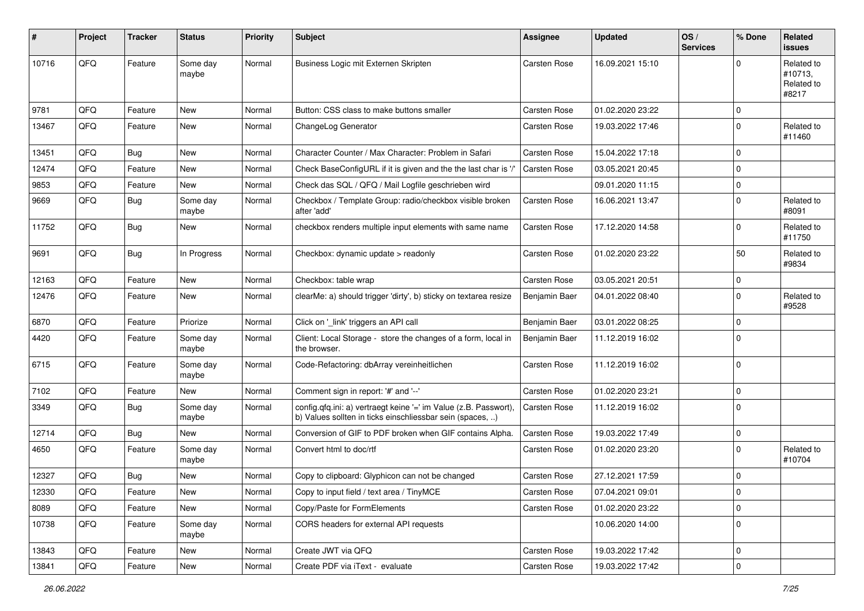| #     | Project | <b>Tracker</b> | <b>Status</b>     | Priority | <b>Subject</b>                                                                                                                | <b>Assignee</b>     | <b>Updated</b>   | OS/<br><b>Services</b> | % Done         | Related<br><b>issues</b>                     |
|-------|---------|----------------|-------------------|----------|-------------------------------------------------------------------------------------------------------------------------------|---------------------|------------------|------------------------|----------------|----------------------------------------------|
| 10716 | QFQ     | Feature        | Some day<br>maybe | Normal   | Business Logic mit Externen Skripten                                                                                          | <b>Carsten Rose</b> | 16.09.2021 15:10 |                        | $\Omega$       | Related to<br>#10713,<br>Related to<br>#8217 |
| 9781  | QFQ     | Feature        | New               | Normal   | Button: CSS class to make buttons smaller                                                                                     | Carsten Rose        | 01.02.2020 23:22 |                        | $\mathbf 0$    |                                              |
| 13467 | QFQ     | Feature        | New               | Normal   | ChangeLog Generator                                                                                                           | Carsten Rose        | 19.03.2022 17:46 |                        | $\overline{0}$ | Related to<br>#11460                         |
| 13451 | QFQ     | Bug            | New               | Normal   | Character Counter / Max Character: Problem in Safari                                                                          | Carsten Rose        | 15.04.2022 17:18 |                        | $\mathbf 0$    |                                              |
| 12474 | QFQ     | Feature        | New               | Normal   | Check BaseConfigURL if it is given and the the last char is '/'                                                               | Carsten Rose        | 03.05.2021 20:45 |                        | $\mathbf 0$    |                                              |
| 9853  | QFQ     | Feature        | New               | Normal   | Check das SQL / QFQ / Mail Logfile geschrieben wird                                                                           |                     | 09.01.2020 11:15 |                        | $\mathbf 0$    |                                              |
| 9669  | QFQ     | Bug            | Some day<br>maybe | Normal   | Checkbox / Template Group: radio/checkbox visible broken<br>after 'add'                                                       | Carsten Rose        | 16.06.2021 13:47 |                        | $\overline{0}$ | Related to<br>#8091                          |
| 11752 | QFQ     | Bug            | New               | Normal   | checkbox renders multiple input elements with same name                                                                       | Carsten Rose        | 17.12.2020 14:58 |                        | $\Omega$       | Related to<br>#11750                         |
| 9691  | QFQ     | Bug            | In Progress       | Normal   | Checkbox: dynamic update > readonly                                                                                           | Carsten Rose        | 01.02.2020 23:22 |                        | 50             | Related to<br>#9834                          |
| 12163 | QFQ     | Feature        | <b>New</b>        | Normal   | Checkbox: table wrap                                                                                                          | Carsten Rose        | 03.05.2021 20:51 |                        | $\overline{0}$ |                                              |
| 12476 | QFQ     | Feature        | New               | Normal   | clearMe: a) should trigger 'dirty', b) sticky on textarea resize                                                              | Benjamin Baer       | 04.01.2022 08:40 |                        | $\overline{0}$ | Related to<br>#9528                          |
| 6870  | QFQ     | Feature        | Priorize          | Normal   | Click on '_link' triggers an API call                                                                                         | Benjamin Baer       | 03.01.2022 08:25 |                        | $\mathbf 0$    |                                              |
| 4420  | QFQ     | Feature        | Some day<br>maybe | Normal   | Client: Local Storage - store the changes of a form, local in<br>the browser.                                                 | Benjamin Baer       | 11.12.2019 16:02 |                        | $\overline{0}$ |                                              |
| 6715  | QFQ     | Feature        | Some day<br>maybe | Normal   | Code-Refactoring: dbArray vereinheitlichen                                                                                    | Carsten Rose        | 11.12.2019 16:02 |                        | $\overline{0}$ |                                              |
| 7102  | QFQ     | Feature        | New               | Normal   | Comment sign in report: '#' and '--'                                                                                          | Carsten Rose        | 01.02.2020 23:21 |                        | $\pmb{0}$      |                                              |
| 3349  | QFQ     | <b>Bug</b>     | Some day<br>maybe | Normal   | config.qfq.ini: a) vertraegt keine '=' im Value (z.B. Passwort),<br>b) Values sollten in ticks einschliessbar sein (spaces, ) | Carsten Rose        | 11.12.2019 16:02 |                        | $\overline{0}$ |                                              |
| 12714 | QFQ     | Bug            | New               | Normal   | Conversion of GIF to PDF broken when GIF contains Alpha.                                                                      | Carsten Rose        | 19.03.2022 17:49 |                        | $\overline{0}$ |                                              |
| 4650  | QFQ     | Feature        | Some day<br>maybe | Normal   | Convert html to doc/rtf                                                                                                       | Carsten Rose        | 01.02.2020 23:20 |                        | $\mathbf 0$    | Related to<br>#10704                         |
| 12327 | QFQ     | Bug            | New               | Normal   | Copy to clipboard: Glyphicon can not be changed                                                                               | Carsten Rose        | 27.12.2021 17:59 |                        | $\overline{0}$ |                                              |
| 12330 | QFQ     | Feature        | New               | Normal   | Copy to input field / text area / TinyMCE                                                                                     | Carsten Rose        | 07.04.2021 09:01 |                        | 0              |                                              |
| 8089  | QFQ     | Feature        | New               | Normal   | Copy/Paste for FormElements                                                                                                   | Carsten Rose        | 01.02.2020 23:22 |                        | $\overline{0}$ |                                              |
| 10738 | QFQ     | Feature        | Some day<br>maybe | Normal   | CORS headers for external API requests                                                                                        |                     | 10.06.2020 14:00 |                        | $\mathbf 0$    |                                              |
| 13843 | QFQ     | Feature        | New               | Normal   | Create JWT via QFQ                                                                                                            | Carsten Rose        | 19.03.2022 17:42 |                        | $\overline{0}$ |                                              |
| 13841 | QFQ     | Feature        | New               | Normal   | Create PDF via iText - evaluate                                                                                               | Carsten Rose        | 19.03.2022 17:42 |                        | $\overline{0}$ |                                              |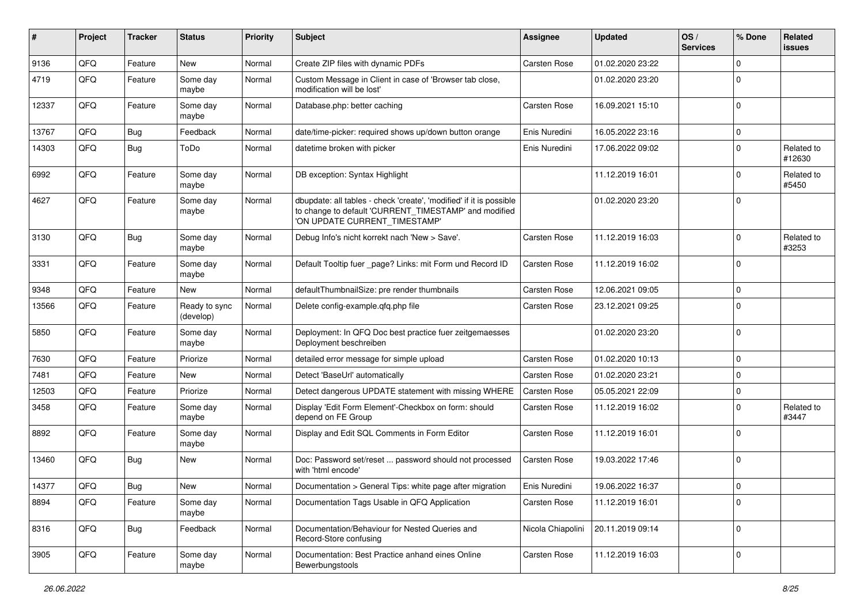| #     | Project | <b>Tracker</b> | <b>Status</b>              | <b>Priority</b> | Subject                                                                                                                                                       | <b>Assignee</b>     | <b>Updated</b>   | OS/<br><b>Services</b> | % Done         | Related<br><b>issues</b> |
|-------|---------|----------------|----------------------------|-----------------|---------------------------------------------------------------------------------------------------------------------------------------------------------------|---------------------|------------------|------------------------|----------------|--------------------------|
| 9136  | QFQ     | Feature        | New                        | Normal          | Create ZIP files with dynamic PDFs                                                                                                                            | <b>Carsten Rose</b> | 01.02.2020 23:22 |                        | $\mathbf 0$    |                          |
| 4719  | QFQ     | Feature        | Some day<br>maybe          | Normal          | Custom Message in Client in case of 'Browser tab close,<br>modification will be lost'                                                                         |                     | 01.02.2020 23:20 |                        | $\Omega$       |                          |
| 12337 | QFQ     | Feature        | Some day<br>maybe          | Normal          | Database.php: better caching                                                                                                                                  | Carsten Rose        | 16.09.2021 15:10 |                        | $\mathbf 0$    |                          |
| 13767 | QFQ     | Bug            | Feedback                   | Normal          | date/time-picker: required shows up/down button orange                                                                                                        | Enis Nuredini       | 16.05.2022 23:16 |                        | $\pmb{0}$      |                          |
| 14303 | QFQ     | Bug            | ToDo                       | Normal          | datetime broken with picker                                                                                                                                   | Enis Nuredini       | 17.06.2022 09:02 |                        | $\overline{0}$ | Related to<br>#12630     |
| 6992  | QFQ     | Feature        | Some day<br>maybe          | Normal          | DB exception: Syntax Highlight                                                                                                                                |                     | 11.12.2019 16:01 |                        | $\mathbf 0$    | Related to<br>#5450      |
| 4627  | QFQ     | Feature        | Some day<br>maybe          | Normal          | dbupdate: all tables - check 'create', 'modified' if it is possible<br>to change to default 'CURRENT_TIMESTAMP' and modified<br>'ON UPDATE CURRENT_TIMESTAMP' |                     | 01.02.2020 23:20 |                        | $\overline{0}$ |                          |
| 3130  | QFQ     | Bug            | Some day<br>maybe          | Normal          | Debug Info's nicht korrekt nach 'New > Save'.                                                                                                                 | Carsten Rose        | 11.12.2019 16:03 |                        | $\mathbf 0$    | Related to<br>#3253      |
| 3331  | QFQ     | Feature        | Some day<br>maybe          | Normal          | Default Tooltip fuer _page? Links: mit Form und Record ID                                                                                                     | Carsten Rose        | 11.12.2019 16:02 |                        | $\Omega$       |                          |
| 9348  | QFQ     | Feature        | New                        | Normal          | defaultThumbnailSize: pre render thumbnails                                                                                                                   | <b>Carsten Rose</b> | 12.06.2021 09:05 |                        | $\mathbf 0$    |                          |
| 13566 | QFQ     | Feature        | Ready to sync<br>(develop) | Normal          | Delete config-example.gfg.php file                                                                                                                            | Carsten Rose        | 23.12.2021 09:25 |                        | $\mathbf 0$    |                          |
| 5850  | QFQ     | Feature        | Some day<br>maybe          | Normal          | Deployment: In QFQ Doc best practice fuer zeitgemaesses<br>Deployment beschreiben                                                                             |                     | 01.02.2020 23:20 |                        | $\overline{0}$ |                          |
| 7630  | QFQ     | Feature        | Priorize                   | Normal          | detailed error message for simple upload                                                                                                                      | <b>Carsten Rose</b> | 01.02.2020 10:13 |                        | $\mathbf 0$    |                          |
| 7481  | QFQ     | Feature        | New                        | Normal          | Detect 'BaseUrl' automatically                                                                                                                                | Carsten Rose        | 01.02.2020 23:21 |                        | $\pmb{0}$      |                          |
| 12503 | QFQ     | Feature        | Priorize                   | Normal          | Detect dangerous UPDATE statement with missing WHERE                                                                                                          | Carsten Rose        | 05.05.2021 22:09 |                        | $\overline{0}$ |                          |
| 3458  | QFQ     | Feature        | Some day<br>maybe          | Normal          | Display 'Edit Form Element'-Checkbox on form: should<br>depend on FE Group                                                                                    | Carsten Rose        | 11.12.2019 16:02 |                        | $\mathbf 0$    | Related to<br>#3447      |
| 8892  | QFQ     | Feature        | Some day<br>maybe          | Normal          | Display and Edit SQL Comments in Form Editor                                                                                                                  | Carsten Rose        | 11.12.2019 16:01 |                        | $\overline{0}$ |                          |
| 13460 | QFQ     | Bug            | New                        | Normal          | Doc: Password set/reset  password should not processed<br>with 'html encode'                                                                                  | Carsten Rose        | 19.03.2022 17:46 |                        | $\overline{0}$ |                          |
| 14377 | QFQ     | Bug            | New                        | Normal          | Documentation > General Tips: white page after migration                                                                                                      | Enis Nuredini       | 19.06.2022 16:37 |                        | $\mathbf 0$    |                          |
| 8894  | QFQ     | Feature        | Some day<br>maybe          | Normal          | Documentation Tags Usable in QFQ Application                                                                                                                  | Carsten Rose        | 11.12.2019 16:01 |                        | $\overline{0}$ |                          |
| 8316  | QFQ     | <b>Bug</b>     | Feedback                   | Normal          | Documentation/Behaviour for Nested Queries and<br>Record-Store confusing                                                                                      | Nicola Chiapolini   | 20.11.2019 09:14 |                        | $\mathbf 0$    |                          |
| 3905  | QFQ     | Feature        | Some day<br>maybe          | Normal          | Documentation: Best Practice anhand eines Online<br>Bewerbungstools                                                                                           | Carsten Rose        | 11.12.2019 16:03 |                        | $\mathbf 0$    |                          |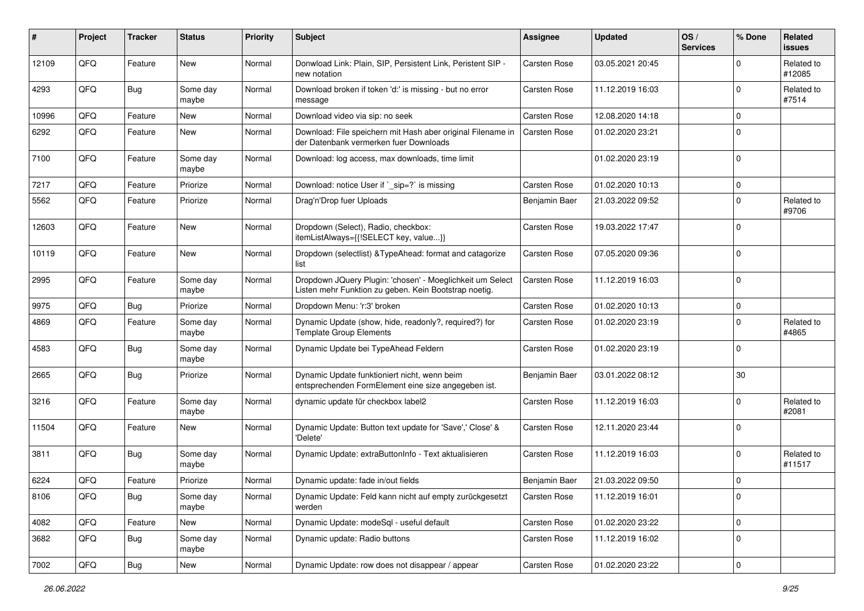| #     | Project | <b>Tracker</b> | <b>Status</b>     | <b>Priority</b> | <b>Subject</b>                                                                                                     | <b>Assignee</b>     | <b>Updated</b>   | OS/<br><b>Services</b> | % Done       | Related<br><b>issues</b> |
|-------|---------|----------------|-------------------|-----------------|--------------------------------------------------------------------------------------------------------------------|---------------------|------------------|------------------------|--------------|--------------------------|
| 12109 | QFQ     | Feature        | <b>New</b>        | Normal          | Donwload Link: Plain, SIP, Persistent Link, Peristent SIP -<br>new notation                                        | <b>Carsten Rose</b> | 03.05.2021 20:45 |                        | <sup>0</sup> | Related to<br>#12085     |
| 4293  | QFQ     | <b>Bug</b>     | Some day<br>maybe | Normal          | Download broken if token 'd:' is missing - but no error<br>message                                                 | Carsten Rose        | 11.12.2019 16:03 |                        | $\Omega$     | Related to<br>#7514      |
| 10996 | QFQ     | Feature        | New               | Normal          | Download video via sip: no seek                                                                                    | Carsten Rose        | 12.08.2020 14:18 |                        | 0            |                          |
| 6292  | QFQ     | Feature        | New               | Normal          | Download: File speichern mit Hash aber original Filename in<br>der Datenbank vermerken fuer Downloads              | Carsten Rose        | 01.02.2020 23:21 |                        | $\Omega$     |                          |
| 7100  | QFQ     | Feature        | Some day<br>maybe | Normal          | Download: log access, max downloads, time limit                                                                    |                     | 01.02.2020 23:19 |                        | $\Omega$     |                          |
| 7217  | QFQ     | Feature        | Priorize          | Normal          | Download: notice User if `_sip=?` is missing                                                                       | Carsten Rose        | 01.02.2020 10:13 |                        | 0            |                          |
| 5562  | QFQ     | Feature        | Priorize          | Normal          | Drag'n'Drop fuer Uploads                                                                                           | Benjamin Baer       | 21.03.2022 09:52 |                        | $\Omega$     | Related to<br>#9706      |
| 12603 | QFQ     | Feature        | <b>New</b>        | Normal          | Dropdown (Select), Radio, checkbox:<br>itemListAlways={{!SELECT key, value}}                                       | Carsten Rose        | 19.03.2022 17:47 |                        | 0            |                          |
| 10119 | QFQ     | Feature        | <b>New</b>        | Normal          | Dropdown (selectlist) & Type Ahead: format and catagorize<br>list                                                  | Carsten Rose        | 07.05.2020 09:36 |                        | $\Omega$     |                          |
| 2995  | QFQ     | Feature        | Some day<br>maybe | Normal          | Dropdown JQuery Plugin: 'chosen' - Moeglichkeit um Select<br>Listen mehr Funktion zu geben. Kein Bootstrap noetig. | Carsten Rose        | 11.12.2019 16:03 |                        | $\Omega$     |                          |
| 9975  | QFQ     | <b>Bug</b>     | Priorize          | Normal          | Dropdown Menu: 'r:3' broken                                                                                        | Carsten Rose        | 01.02.2020 10:13 |                        | 0            |                          |
| 4869  | QFQ     | Feature        | Some day<br>maybe | Normal          | Dynamic Update (show, hide, readonly?, required?) for<br><b>Template Group Elements</b>                            | Carsten Rose        | 01.02.2020 23:19 |                        | 0            | Related to<br>#4865      |
| 4583  | QFQ     | Bug            | Some day<br>maybe | Normal          | Dynamic Update bei TypeAhead Feldern                                                                               | Carsten Rose        | 01.02.2020 23:19 |                        | $\Omega$     |                          |
| 2665  | QFQ     | <b>Bug</b>     | Priorize          | Normal          | Dynamic Update funktioniert nicht, wenn beim<br>entsprechenden FormElement eine size angegeben ist.                | Benjamin Baer       | 03.01.2022 08:12 |                        | 30           |                          |
| 3216  | QFQ     | Feature        | Some day<br>maybe | Normal          | dynamic update für checkbox label2                                                                                 | Carsten Rose        | 11.12.2019 16:03 |                        | 0            | Related to<br>#2081      |
| 11504 | QFQ     | Feature        | New               | Normal          | Dynamic Update: Button text update for 'Save',' Close' &<br>'Delete'                                               | Carsten Rose        | 12.11.2020 23:44 |                        | $\Omega$     |                          |
| 3811  | QFQ     | <b>Bug</b>     | Some day<br>maybe | Normal          | Dynamic Update: extraButtonInfo - Text aktualisieren                                                               | Carsten Rose        | 11.12.2019 16:03 |                        | <sup>0</sup> | Related to<br>#11517     |
| 6224  | QFQ     | Feature        | Priorize          | Normal          | Dynamic update: fade in/out fields                                                                                 | Benjamin Baer       | 21.03.2022 09:50 |                        | 0            |                          |
| 8106  | QFQ     | <b>Bug</b>     | Some day<br>maybe | Normal          | Dynamic Update: Feld kann nicht auf empty zurückgesetzt<br>werden                                                  | Carsten Rose        | 11.12.2019 16:01 |                        | 0            |                          |
| 4082  | QFQ     | Feature        | New               | Normal          | Dynamic Update: modeSql - useful default                                                                           | Carsten Rose        | 01.02.2020 23:22 |                        | 0            |                          |
| 3682  | QFQ     | <b>Bug</b>     | Some day<br>maybe | Normal          | Dynamic update: Radio buttons                                                                                      | Carsten Rose        | 11.12.2019 16:02 |                        | 0            |                          |
| 7002  | QFQ     | Bug            | New               | Normal          | Dynamic Update: row does not disappear / appear                                                                    | Carsten Rose        | 01.02.2020 23:22 |                        | 0            |                          |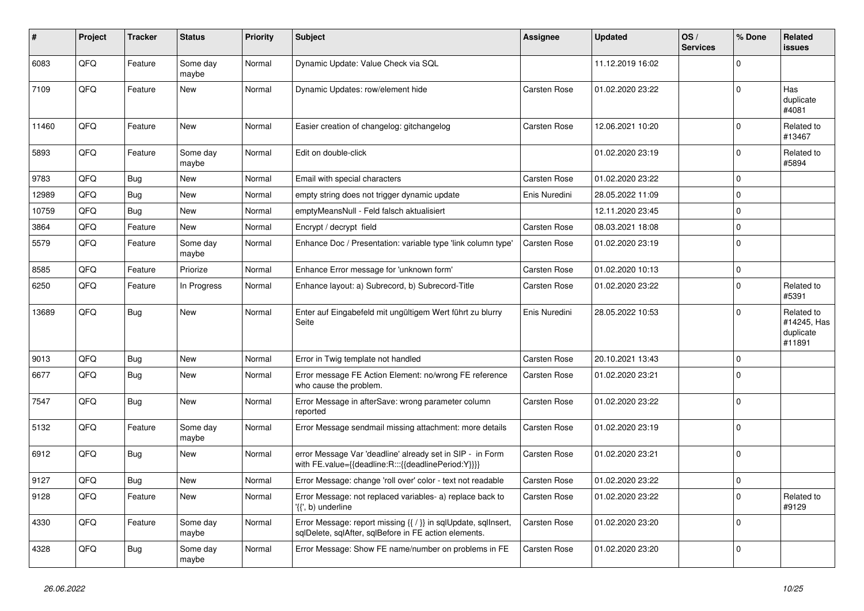| ∦     | Project | <b>Tracker</b> | <b>Status</b>     | <b>Priority</b> | <b>Subject</b>                                                                                                          | Assignee            | <b>Updated</b>   | OS/<br><b>Services</b> | % Done         | Related<br><b>issues</b>                         |
|-------|---------|----------------|-------------------|-----------------|-------------------------------------------------------------------------------------------------------------------------|---------------------|------------------|------------------------|----------------|--------------------------------------------------|
| 6083  | QFQ     | Feature        | Some day<br>maybe | Normal          | Dynamic Update: Value Check via SQL                                                                                     |                     | 11.12.2019 16:02 |                        | $\Omega$       |                                                  |
| 7109  | QFQ     | Feature        | <b>New</b>        | Normal          | Dynamic Updates: row/element hide                                                                                       | <b>Carsten Rose</b> | 01.02.2020 23:22 |                        | $\mathbf 0$    | Has<br>duplicate<br>#4081                        |
| 11460 | QFQ     | Feature        | <b>New</b>        | Normal          | Easier creation of changelog: gitchangelog                                                                              | Carsten Rose        | 12.06.2021 10:20 |                        | $\overline{0}$ | Related to<br>#13467                             |
| 5893  | QFQ     | Feature        | Some day<br>maybe | Normal          | Edit on double-click                                                                                                    |                     | 01.02.2020 23:19 |                        | $\Omega$       | Related to<br>#5894                              |
| 9783  | QFQ     | Bug            | <b>New</b>        | Normal          | Email with special characters                                                                                           | Carsten Rose        | 01.02.2020 23:22 |                        | $\overline{0}$ |                                                  |
| 12989 | QFQ     | Bug            | <b>New</b>        | Normal          | empty string does not trigger dynamic update                                                                            | Enis Nuredini       | 28.05.2022 11:09 |                        | $\Omega$       |                                                  |
| 10759 | QFQ     | Bug            | New               | Normal          | emptyMeansNull - Feld falsch aktualisiert                                                                               |                     | 12.11.2020 23:45 |                        | $\mathbf 0$    |                                                  |
| 3864  | QFQ     | Feature        | <b>New</b>        | Normal          | Encrypt / decrypt field                                                                                                 | Carsten Rose        | 08.03.2021 18:08 |                        | $\mathbf{0}$   |                                                  |
| 5579  | QFQ     | Feature        | Some day<br>maybe | Normal          | Enhance Doc / Presentation: variable type 'link column type'                                                            | Carsten Rose        | 01.02.2020 23:19 |                        | 0              |                                                  |
| 8585  | QFQ     | Feature        | Priorize          | Normal          | Enhance Error message for 'unknown form'                                                                                | Carsten Rose        | 01.02.2020 10:13 |                        | $\Omega$       |                                                  |
| 6250  | QFQ     | Feature        | In Progress       | Normal          | Enhance layout: a) Subrecord, b) Subrecord-Title                                                                        | Carsten Rose        | 01.02.2020 23:22 |                        | $\mathbf{0}$   | Related to<br>#5391                              |
| 13689 | QFQ     | <b>Bug</b>     | <b>New</b>        | Normal          | Enter auf Eingabefeld mit ungültigem Wert führt zu blurry<br>Seite                                                      | Enis Nuredini       | 28.05.2022 10:53 |                        | $\Omega$       | Related to<br>#14245, Has<br>duplicate<br>#11891 |
| 9013  | QFQ     | Bug            | <b>New</b>        | Normal          | Error in Twig template not handled                                                                                      | Carsten Rose        | 20.10.2021 13:43 |                        | $\mathbf 0$    |                                                  |
| 6677  | QFQ     | <b>Bug</b>     | New               | Normal          | Error message FE Action Element: no/wrong FE reference<br>who cause the problem.                                        | Carsten Rose        | 01.02.2020 23:21 |                        | $\Omega$       |                                                  |
| 7547  | QFQ     | <b>Bug</b>     | <b>New</b>        | Normal          | Error Message in afterSave: wrong parameter column<br>reported                                                          | Carsten Rose        | 01.02.2020 23:22 |                        | $\overline{0}$ |                                                  |
| 5132  | QFQ     | Feature        | Some day<br>maybe | Normal          | Error Message sendmail missing attachment: more details                                                                 | Carsten Rose        | 01.02.2020 23:19 |                        | $\overline{0}$ |                                                  |
| 6912  | QFQ     | Bug            | New               | Normal          | error Message Var 'deadline' already set in SIP - in Form<br>with FE.value={{deadline:R:::{{deadlinePeriod:Y}}}}        | Carsten Rose        | 01.02.2020 23:21 |                        | $\Omega$       |                                                  |
| 9127  | QFQ     | Bug            | New               | Normal          | Error Message: change 'roll over' color - text not readable                                                             | Carsten Rose        | 01.02.2020 23:22 |                        | $\mathbf 0$    |                                                  |
| 9128  | QFQ     | Feature        | <b>New</b>        | Normal          | Error Message: not replaced variables- a) replace back to<br>'{{', b) underline                                         | Carsten Rose        | 01.02.2020 23:22 |                        | $\Omega$       | Related to<br>#9129                              |
| 4330  | QFQ     | Feature        | Some day<br>maybe | Normal          | Error Message: report missing {{ / }} in sqlUpdate, sqlInsert,<br>sqlDelete, sqlAfter, sqlBefore in FE action elements. | Carsten Rose        | 01.02.2020 23:20 |                        | $\Omega$       |                                                  |
| 4328  | QFQ     | <b>Bug</b>     | Some day<br>maybe | Normal          | Error Message: Show FE name/number on problems in FE                                                                    | Carsten Rose        | 01.02.2020 23:20 |                        | $\Omega$       |                                                  |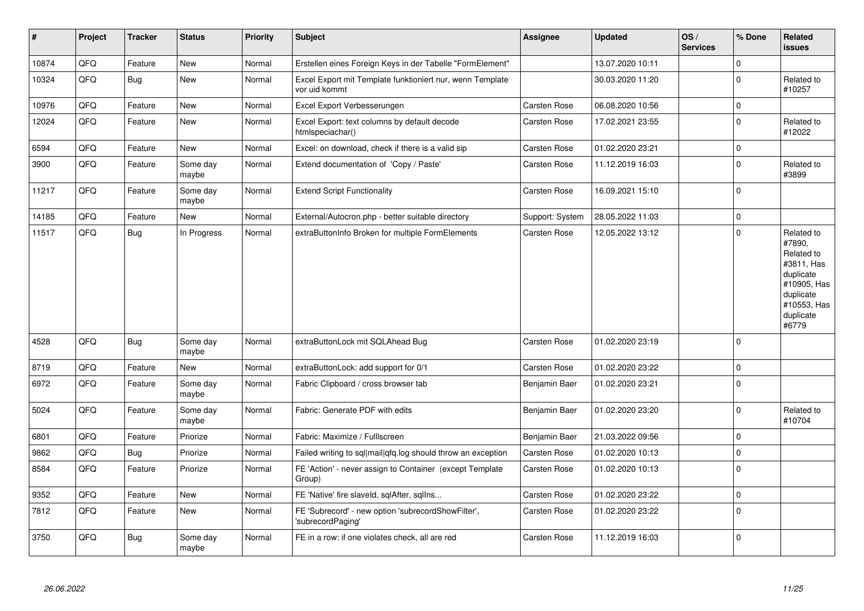| $\vert$ # | Project | <b>Tracker</b> | <b>Status</b>     | <b>Priority</b> | <b>Subject</b>                                                             | <b>Assignee</b> | <b>Updated</b>   | OS/<br><b>Services</b> | % Done         | Related<br><b>issues</b>                                                                                                       |
|-----------|---------|----------------|-------------------|-----------------|----------------------------------------------------------------------------|-----------------|------------------|------------------------|----------------|--------------------------------------------------------------------------------------------------------------------------------|
| 10874     | QFQ     | Feature        | <b>New</b>        | Normal          | Erstellen eines Foreign Keys in der Tabelle "FormElement"                  |                 | 13.07.2020 10:11 |                        | $\overline{0}$ |                                                                                                                                |
| 10324     | QFQ     | <b>Bug</b>     | New               | Normal          | Excel Export mit Template funktioniert nur, wenn Template<br>vor uid kommt |                 | 30.03.2020 11:20 |                        | $\pmb{0}$      | Related to<br>#10257                                                                                                           |
| 10976     | QFQ     | Feature        | <b>New</b>        | Normal          | Excel Export Verbesserungen                                                | Carsten Rose    | 06.08.2020 10:56 |                        | $\overline{0}$ |                                                                                                                                |
| 12024     | QFQ     | Feature        | New               | Normal          | Excel Export: text columns by default decode<br>htmlspeciachar()           | Carsten Rose    | 17.02.2021 23:55 |                        | $\pmb{0}$      | Related to<br>#12022                                                                                                           |
| 6594      | QFQ     | Feature        | <b>New</b>        | Normal          | Excel: on download, check if there is a valid sip                          | Carsten Rose    | 01.02.2020 23:21 |                        | $\pmb{0}$      |                                                                                                                                |
| 3900      | QFQ     | Feature        | Some day<br>maybe | Normal          | Extend documentation of 'Copy / Paste'                                     | Carsten Rose    | 11.12.2019 16:03 |                        | $\pmb{0}$      | Related to<br>#3899                                                                                                            |
| 11217     | QFQ     | Feature        | Some day<br>maybe | Normal          | <b>Extend Script Functionality</b>                                         | Carsten Rose    | 16.09.2021 15:10 |                        | $\overline{0}$ |                                                                                                                                |
| 14185     | QFQ     | Feature        | New               | Normal          | External/Autocron.php - better suitable directory                          | Support: System | 28.05.2022 11:03 |                        | $\overline{0}$ |                                                                                                                                |
| 11517     | QFQ     | Bug            | In Progress       | Normal          | extraButtonInfo Broken for multiple FormElements                           | Carsten Rose    | 12.05.2022 13:12 |                        | $\overline{0}$ | Related to<br>#7890,<br>Related to<br>#3811, Has<br>duplicate<br>#10905, Has<br>duplicate<br>#10553, Has<br>duplicate<br>#6779 |
| 4528      | QFQ     | <b>Bug</b>     | Some day<br>maybe | Normal          | extraButtonLock mit SQLAhead Bug                                           | Carsten Rose    | 01.02.2020 23:19 |                        | $\overline{0}$ |                                                                                                                                |
| 8719      | QFQ     | Feature        | <b>New</b>        | Normal          | extraButtonLock: add support for 0/1                                       | Carsten Rose    | 01.02.2020 23:22 |                        | $\mathbf 0$    |                                                                                                                                |
| 6972      | QFQ     | Feature        | Some day<br>maybe | Normal          | Fabric Clipboard / cross browser tab                                       | Benjamin Baer   | 01.02.2020 23:21 |                        | $\overline{0}$ |                                                                                                                                |
| 5024      | QFQ     | Feature        | Some day<br>maybe | Normal          | Fabric: Generate PDF with edits                                            | Benjamin Baer   | 01.02.2020 23:20 |                        | $\mathbf 0$    | Related to<br>#10704                                                                                                           |
| 6801      | QFQ     | Feature        | Priorize          | Normal          | Fabric: Maximize / FullIscreen                                             | Benjamin Baer   | 21.03.2022 09:56 |                        | $\overline{0}$ |                                                                                                                                |
| 9862      | QFQ     | <b>Bug</b>     | Priorize          | Normal          | Failed writing to sql mail qfq.log should throw an exception               | Carsten Rose    | 01.02.2020 10:13 |                        | $\overline{0}$ |                                                                                                                                |
| 8584      | QFQ     | Feature        | Priorize          | Normal          | FE 'Action' - never assign to Container (except Template<br>Group)         | Carsten Rose    | 01.02.2020 10:13 |                        | $\overline{0}$ |                                                                                                                                |
| 9352      | QFQ     | Feature        | <b>New</b>        | Normal          | FE 'Native' fire slaveld, sqlAfter, sqllns                                 | Carsten Rose    | 01.02.2020 23:22 |                        | $\overline{0}$ |                                                                                                                                |
| 7812      | QFQ     | Feature        | New               | Normal          | FE 'Subrecord' - new option 'subrecordShowFilter',<br>'subrecordPaging'    | Carsten Rose    | 01.02.2020 23:22 |                        | $\pmb{0}$      |                                                                                                                                |
| 3750      | QFQ     | Bug            | Some day<br>maybe | Normal          | FE in a row: if one violates check, all are red                            | Carsten Rose    | 11.12.2019 16:03 |                        | $\overline{0}$ |                                                                                                                                |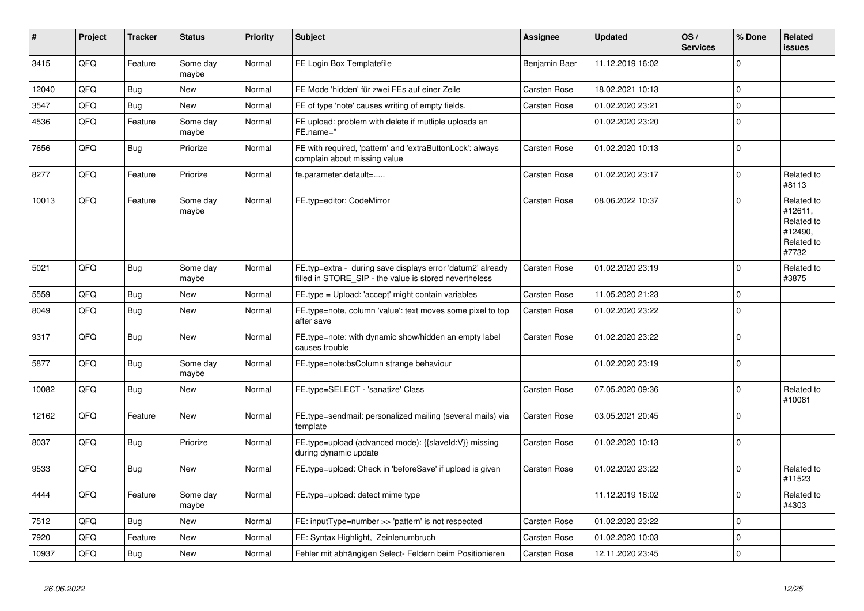| #     | Project    | <b>Tracker</b> | <b>Status</b>     | <b>Priority</b> | <b>Subject</b>                                                                                                       | <b>Assignee</b> | <b>Updated</b>   | OS/<br><b>Services</b> | % Done         | Related<br><b>issues</b>                                              |
|-------|------------|----------------|-------------------|-----------------|----------------------------------------------------------------------------------------------------------------------|-----------------|------------------|------------------------|----------------|-----------------------------------------------------------------------|
| 3415  | QFQ        | Feature        | Some day<br>maybe | Normal          | FE Login Box Templatefile                                                                                            | Benjamin Baer   | 11.12.2019 16:02 |                        | $\Omega$       |                                                                       |
| 12040 | QFQ        | Bug            | <b>New</b>        | Normal          | FE Mode 'hidden' für zwei FEs auf einer Zeile                                                                        | Carsten Rose    | 18.02.2021 10:13 |                        | $\mathbf 0$    |                                                                       |
| 3547  | QFQ        | Bug            | <b>New</b>        | Normal          | FE of type 'note' causes writing of empty fields.                                                                    | Carsten Rose    | 01.02.2020 23:21 |                        | $\mathbf 0$    |                                                                       |
| 4536  | QFQ        | Feature        | Some day<br>maybe | Normal          | FE upload: problem with delete if mutliple uploads an<br>FE.name="                                                   |                 | 01.02.2020 23:20 |                        | $\mathbf 0$    |                                                                       |
| 7656  | QFQ        | Bug            | Priorize          | Normal          | FE with required, 'pattern' and 'extraButtonLock': always<br>complain about missing value                            | Carsten Rose    | 01.02.2020 10:13 |                        | $\mathbf 0$    |                                                                       |
| 8277  | QFQ        | Feature        | Priorize          | Normal          | fe.parameter.default=                                                                                                | Carsten Rose    | 01.02.2020 23:17 |                        | $\mathbf 0$    | Related to<br>#8113                                                   |
| 10013 | QFQ        | Feature        | Some day<br>maybe | Normal          | FE.typ=editor: CodeMirror                                                                                            | Carsten Rose    | 08.06.2022 10:37 |                        | $\mathbf 0$    | Related to<br>#12611,<br>Related to<br>#12490,<br>Related to<br>#7732 |
| 5021  | QFQ        | Bug            | Some day<br>maybe | Normal          | FE.typ=extra - during save displays error 'datum2' already<br>filled in STORE_SIP - the value is stored nevertheless | Carsten Rose    | 01.02.2020 23:19 |                        | $\mathbf 0$    | Related to<br>#3875                                                   |
| 5559  | QFQ        | Bug            | <b>New</b>        | Normal          | FE.type = Upload: 'accept' might contain variables                                                                   | Carsten Rose    | 11.05.2020 21:23 |                        | $\overline{0}$ |                                                                       |
| 8049  | QFQ        | Bug            | <b>New</b>        | Normal          | FE.type=note, column 'value': text moves some pixel to top<br>after save                                             | Carsten Rose    | 01.02.2020 23:22 |                        | $\mathbf 0$    |                                                                       |
| 9317  | QFQ        | Bug            | <b>New</b>        | Normal          | FE.type=note: with dynamic show/hidden an empty label<br>causes trouble                                              | Carsten Rose    | 01.02.2020 23:22 |                        | $\pmb{0}$      |                                                                       |
| 5877  | QFQ        | <b>Bug</b>     | Some day<br>maybe | Normal          | FE.type=note:bsColumn strange behaviour                                                                              |                 | 01.02.2020 23:19 |                        | $\Omega$       |                                                                       |
| 10082 | QFQ        | Bug            | <b>New</b>        | Normal          | FE.type=SELECT - 'sanatize' Class                                                                                    | Carsten Rose    | 07.05.2020 09:36 |                        | $\Omega$       | Related to<br>#10081                                                  |
| 12162 | QFQ        | Feature        | <b>New</b>        | Normal          | FE.type=sendmail: personalized mailing (several mails) via<br>template                                               | Carsten Rose    | 03.05.2021 20:45 |                        | $\mathbf 0$    |                                                                       |
| 8037  | QFQ        | Bug            | Priorize          | Normal          | FE.type=upload (advanced mode): {{slaveId:V}} missing<br>during dynamic update                                       | Carsten Rose    | 01.02.2020 10:13 |                        | $\mathbf 0$    |                                                                       |
| 9533  | QFQ        | Bug            | <b>New</b>        | Normal          | FE.type=upload: Check in 'beforeSave' if upload is given                                                             | Carsten Rose    | 01.02.2020 23:22 |                        | $\mathbf 0$    | Related to<br>#11523                                                  |
| 4444  | <b>OFO</b> | Feature        | Some day<br>maybe | Normal          | FE.type=upload: detect mime type                                                                                     |                 | 11.12.2019 16:02 |                        | $\Omega$       | Related to<br>#4303                                                   |
| 7512  | QFQ        | <b>Bug</b>     | <b>New</b>        | Normal          | FE: inputType=number >> 'pattern' is not respected                                                                   | Carsten Rose    | 01.02.2020 23:22 |                        | $\mathbf 0$    |                                                                       |
| 7920  | QFQ        | Feature        | <b>New</b>        | Normal          | FE: Syntax Highlight, Zeinlenumbruch                                                                                 | Carsten Rose    | 01.02.2020 10:03 |                        | $\mathbf 0$    |                                                                       |
| 10937 | QFQ        | Bug            | <b>New</b>        | Normal          | Fehler mit abhängigen Select- Feldern beim Positionieren                                                             | Carsten Rose    | 12.11.2020 23:45 |                        | $\overline{0}$ |                                                                       |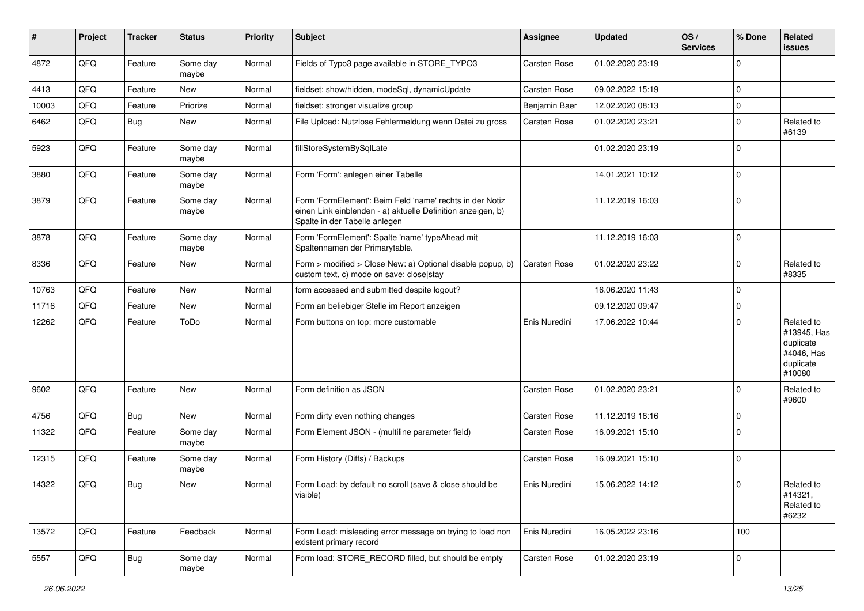| #     | Project | <b>Tracker</b> | <b>Status</b>     | <b>Priority</b> | <b>Subject</b>                                                                                                                                           | <b>Assignee</b> | <b>Updated</b>   | OS/<br><b>Services</b> | % Done         | Related<br>issues                                                           |
|-------|---------|----------------|-------------------|-----------------|----------------------------------------------------------------------------------------------------------------------------------------------------------|-----------------|------------------|------------------------|----------------|-----------------------------------------------------------------------------|
| 4872  | QFQ     | Feature        | Some day<br>maybe | Normal          | Fields of Typo3 page available in STORE_TYPO3                                                                                                            | Carsten Rose    | 01.02.2020 23:19 |                        | $\Omega$       |                                                                             |
| 4413  | QFQ     | Feature        | New               | Normal          | fieldset: show/hidden, modeSql, dynamicUpdate                                                                                                            | Carsten Rose    | 09.02.2022 15:19 |                        | $\mathbf 0$    |                                                                             |
| 10003 | QFQ     | Feature        | Priorize          | Normal          | fieldset: stronger visualize group                                                                                                                       | Benjamin Baer   | 12.02.2020 08:13 |                        | $\mathbf 0$    |                                                                             |
| 6462  | QFQ     | Bug            | New               | Normal          | File Upload: Nutzlose Fehlermeldung wenn Datei zu gross                                                                                                  | Carsten Rose    | 01.02.2020 23:21 |                        | $\mathbf 0$    | Related to<br>#6139                                                         |
| 5923  | QFQ     | Feature        | Some day<br>maybe | Normal          | fillStoreSystemBySqlLate                                                                                                                                 |                 | 01.02.2020 23:19 |                        | $\mathbf 0$    |                                                                             |
| 3880  | QFQ     | Feature        | Some day<br>maybe | Normal          | Form 'Form': anlegen einer Tabelle                                                                                                                       |                 | 14.01.2021 10:12 |                        | 0              |                                                                             |
| 3879  | QFQ     | Feature        | Some day<br>maybe | Normal          | Form 'FormElement': Beim Feld 'name' rechts in der Notiz<br>einen Link einblenden - a) aktuelle Definition anzeigen, b)<br>Spalte in der Tabelle anlegen |                 | 11.12.2019 16:03 |                        | $\overline{0}$ |                                                                             |
| 3878  | QFQ     | Feature        | Some day<br>maybe | Normal          | Form 'FormElement': Spalte 'name' typeAhead mit<br>Spaltennamen der Primarytable.                                                                        |                 | 11.12.2019 16:03 |                        | $\mathbf 0$    |                                                                             |
| 8336  | QFQ     | Feature        | <b>New</b>        | Normal          | Form > modified > Close New: a) Optional disable popup, b)<br>custom text, c) mode on save: close stay                                                   | Carsten Rose    | 01.02.2020 23:22 |                        | $\mathbf 0$    | Related to<br>#8335                                                         |
| 10763 | QFQ     | Feature        | New               | Normal          | form accessed and submitted despite logout?                                                                                                              |                 | 16.06.2020 11:43 |                        | $\Omega$       |                                                                             |
| 11716 | QFQ     | Feature        | New               | Normal          | Form an beliebiger Stelle im Report anzeigen                                                                                                             |                 | 09.12.2020 09:47 |                        | $\mathbf 0$    |                                                                             |
| 12262 | QFQ     | Feature        | ToDo              | Normal          | Form buttons on top: more customable                                                                                                                     | Enis Nuredini   | 17.06.2022 10:44 |                        | $\mathbf 0$    | Related to<br>#13945, Has<br>duplicate<br>#4046, Has<br>duplicate<br>#10080 |
| 9602  | QFQ     | Feature        | <b>New</b>        | Normal          | Form definition as JSON                                                                                                                                  | Carsten Rose    | 01.02.2020 23:21 |                        | $\Omega$       | Related to<br>#9600                                                         |
| 4756  | QFQ     | Bug            | New               | Normal          | Form dirty even nothing changes                                                                                                                          | Carsten Rose    | 11.12.2019 16:16 |                        | $\Omega$       |                                                                             |
| 11322 | QFQ     | Feature        | Some day<br>maybe | Normal          | Form Element JSON - (multiline parameter field)                                                                                                          | Carsten Rose    | 16.09.2021 15:10 |                        | 0              |                                                                             |
| 12315 | QFQ     | Feature        | Some day<br>maybe | Normal          | Form History (Diffs) / Backups                                                                                                                           | Carsten Rose    | 16.09.2021 15:10 |                        | 0              |                                                                             |
| 14322 | QFQ     | Bug            | New               | Normal          | Form Load: by default no scroll (save & close should be<br>visible)                                                                                      | Enis Nuredini   | 15.06.2022 14:12 |                        | $\overline{0}$ | Related to<br>#14321,<br>Related to<br>#6232                                |
| 13572 | QFQ     | Feature        | Feedback          | Normal          | Form Load: misleading error message on trying to load non<br>existent primary record                                                                     | Enis Nuredini   | 16.05.2022 23:16 |                        | 100            |                                                                             |
| 5557  | QFO     | <b>Bug</b>     | Some day<br>maybe | Normal          | Form load: STORE_RECORD filled, but should be empty                                                                                                      | Carsten Rose    | 01.02.2020 23:19 |                        | 0              |                                                                             |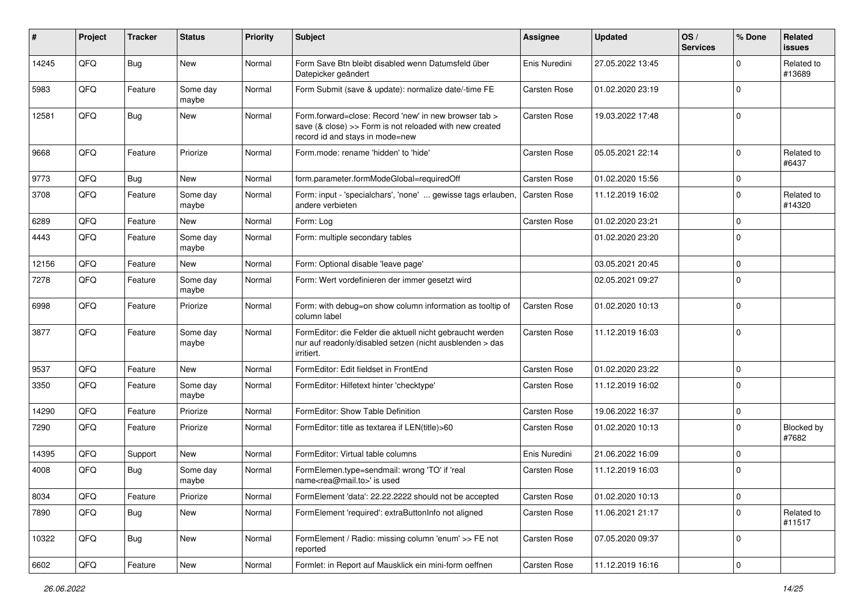| #     | Project | <b>Tracker</b> | <b>Status</b>     | <b>Priority</b> | Subject                                                                                                                                             | <b>Assignee</b> | <b>Updated</b>   | OS/<br><b>Services</b> | % Done         | Related<br>issues    |
|-------|---------|----------------|-------------------|-----------------|-----------------------------------------------------------------------------------------------------------------------------------------------------|-----------------|------------------|------------------------|----------------|----------------------|
| 14245 | QFQ     | Bug            | New               | Normal          | Form Save Btn bleibt disabled wenn Datumsfeld über<br>Datepicker geändert                                                                           | Enis Nuredini   | 27.05.2022 13:45 |                        | $\Omega$       | Related to<br>#13689 |
| 5983  | QFQ     | Feature        | Some day<br>maybe | Normal          | Form Submit (save & update): normalize date/-time FE                                                                                                | Carsten Rose    | 01.02.2020 23:19 |                        | 0              |                      |
| 12581 | QFQ     | Bug            | New               | Normal          | Form.forward=close: Record 'new' in new browser tab ><br>save (& close) >> Form is not reloaded with new created<br>record id and stays in mode=new | Carsten Rose    | 19.03.2022 17:48 |                        | $\overline{0}$ |                      |
| 9668  | QFQ     | Feature        | Priorize          | Normal          | Form.mode: rename 'hidden' to 'hide'                                                                                                                | Carsten Rose    | 05.05.2021 22:14 |                        | $\Omega$       | Related to<br>#6437  |
| 9773  | QFQ     | Bug            | New               | Normal          | form.parameter.formModeGlobal=requiredOff                                                                                                           | Carsten Rose    | 01.02.2020 15:56 |                        | $\mathbf 0$    |                      |
| 3708  | QFQ     | Feature        | Some day<br>maybe | Normal          | Form: input - 'specialchars', 'none'  gewisse tags erlauben,<br>andere verbieten                                                                    | Carsten Rose    | 11.12.2019 16:02 |                        | $\Omega$       | Related to<br>#14320 |
| 6289  | QFQ     | Feature        | New               | Normal          | Form: Log                                                                                                                                           | Carsten Rose    | 01.02.2020 23:21 |                        | $\mathbf 0$    |                      |
| 4443  | QFQ     | Feature        | Some day<br>maybe | Normal          | Form: multiple secondary tables                                                                                                                     |                 | 01.02.2020 23:20 |                        | 0              |                      |
| 12156 | QFQ     | Feature        | New               | Normal          | Form: Optional disable 'leave page'                                                                                                                 |                 | 03.05.2021 20:45 |                        | $\mathbf{0}$   |                      |
| 7278  | QFQ     | Feature        | Some day<br>maybe | Normal          | Form: Wert vordefinieren der immer gesetzt wird                                                                                                     |                 | 02.05.2021 09:27 |                        | $\Omega$       |                      |
| 6998  | QFQ     | Feature        | Priorize          | Normal          | Form: with debug=on show column information as tooltip of<br>column label                                                                           | Carsten Rose    | 01.02.2020 10:13 |                        | $\Omega$       |                      |
| 3877  | QFQ     | Feature        | Some day<br>maybe | Normal          | FormEditor: die Felder die aktuell nicht gebraucht werden<br>nur auf readonly/disabled setzen (nicht ausblenden > das<br>irritiert.                 | Carsten Rose    | 11.12.2019 16:03 |                        | 0              |                      |
| 9537  | QFQ     | Feature        | <b>New</b>        | Normal          | FormEditor: Edit fieldset in FrontEnd                                                                                                               | Carsten Rose    | 01.02.2020 23:22 |                        | $\mathbf 0$    |                      |
| 3350  | QFQ     | Feature        | Some day<br>maybe | Normal          | FormEditor: Hilfetext hinter 'checktype'                                                                                                            | Carsten Rose    | 11.12.2019 16:02 |                        | 0              |                      |
| 14290 | QFQ     | Feature        | Priorize          | Normal          | FormEditor: Show Table Definition                                                                                                                   | Carsten Rose    | 19.06.2022 16:37 |                        | $\mathbf 0$    |                      |
| 7290  | QFQ     | Feature        | Priorize          | Normal          | FormEditor: title as textarea if LEN(title)>60                                                                                                      | Carsten Rose    | 01.02.2020 10:13 |                        | $\Omega$       | Blocked by<br>#7682  |
| 14395 | QFQ     | Support        | New               | Normal          | FormEditor: Virtual table columns                                                                                                                   | Enis Nuredini   | 21.06.2022 16:09 |                        | $\Omega$       |                      |
| 4008  | QFQ     | Bug            | Some day<br>maybe | Normal          | FormElemen.type=sendmail: wrong 'TO' if 'real<br>name <rea@mail.to>' is used</rea@mail.to>                                                          | Carsten Rose    | 11.12.2019 16:03 |                        | 0              |                      |
| 8034  | QFG     | Feature        | Priorize          | Normal          | FormElement 'data': 22.22.2222 should not be accepted                                                                                               | Carsten Rose    | 01.02.2020 10:13 |                        | $\overline{0}$ |                      |
| 7890  | QFQ     | Bug            | New               | Normal          | FormElement 'required': extraButtonInfo not aligned                                                                                                 | Carsten Rose    | 11.06.2021 21:17 |                        | $\Omega$       | Related to<br>#11517 |
| 10322 | QFQ     | Bug            | New               | Normal          | FormElement / Radio: missing column 'enum' >> FE not<br>reported                                                                                    | Carsten Rose    | 07.05.2020 09:37 |                        | 0              |                      |
| 6602  | QFG     | Feature        | New               | Normal          | Formlet: in Report auf Mausklick ein mini-form oeffnen                                                                                              | Carsten Rose    | 11.12.2019 16:16 |                        | $\overline{0}$ |                      |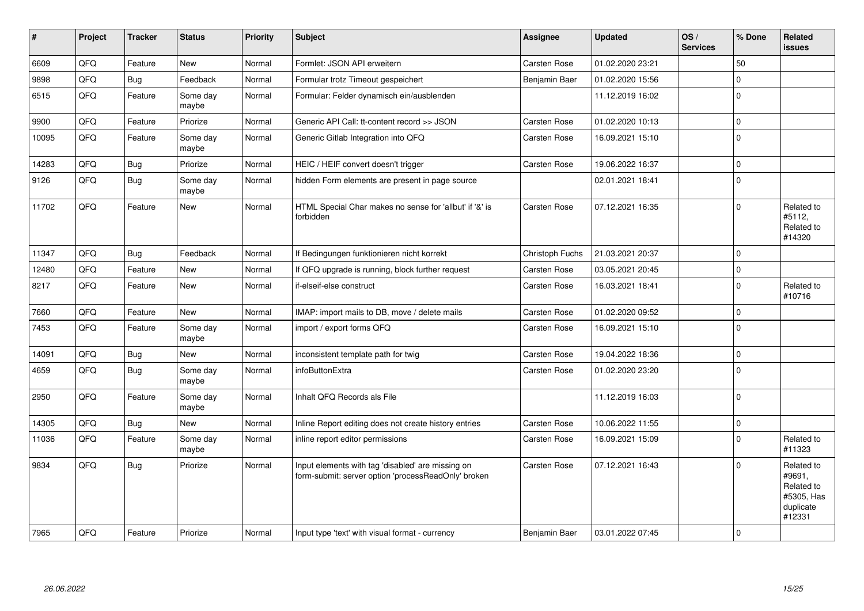| ∦     | Project | <b>Tracker</b> | <b>Status</b>     | <b>Priority</b> | Subject                                                                                                  | <b>Assignee</b>     | <b>Updated</b>   | OS/<br><b>Services</b> | % Done         | Related<br><b>issues</b>                                                |
|-------|---------|----------------|-------------------|-----------------|----------------------------------------------------------------------------------------------------------|---------------------|------------------|------------------------|----------------|-------------------------------------------------------------------------|
| 6609  | QFQ     | Feature        | <b>New</b>        | Normal          | Formlet: JSON API erweitern                                                                              | Carsten Rose        | 01.02.2020 23:21 |                        | 50             |                                                                         |
| 9898  | QFQ     | Bug            | Feedback          | Normal          | Formular trotz Timeout gespeichert                                                                       | Benjamin Baer       | 01.02.2020 15:56 |                        | $\Omega$       |                                                                         |
| 6515  | QFQ     | Feature        | Some day<br>maybe | Normal          | Formular: Felder dynamisch ein/ausblenden                                                                |                     | 11.12.2019 16:02 |                        | $\overline{0}$ |                                                                         |
| 9900  | QFQ     | Feature        | Priorize          | Normal          | Generic API Call: tt-content record >> JSON                                                              | Carsten Rose        | 01.02.2020 10:13 |                        | $\mathbf 0$    |                                                                         |
| 10095 | QFQ     | Feature        | Some day<br>maybe | Normal          | Generic Gitlab Integration into QFQ                                                                      | Carsten Rose        | 16.09.2021 15:10 |                        | 0              |                                                                         |
| 14283 | QFQ     | Bug            | Priorize          | Normal          | HEIC / HEIF convert doesn't trigger                                                                      | Carsten Rose        | 19.06.2022 16:37 |                        | 0              |                                                                         |
| 9126  | QFQ     | <b>Bug</b>     | Some day<br>maybe | Normal          | hidden Form elements are present in page source                                                          |                     | 02.01.2021 18:41 |                        | $\Omega$       |                                                                         |
| 11702 | QFQ     | Feature        | <b>New</b>        | Normal          | HTML Special Char makes no sense for 'allbut' if '&' is<br>forbidden                                     | <b>Carsten Rose</b> | 07.12.2021 16:35 |                        | $\Omega$       | Related to<br>#5112,<br>Related to<br>#14320                            |
| 11347 | QFQ     | <b>Bug</b>     | Feedback          | Normal          | If Bedingungen funktionieren nicht korrekt                                                               | Christoph Fuchs     | 21.03.2021 20:37 |                        | $\overline{0}$ |                                                                         |
| 12480 | QFQ     | Feature        | <b>New</b>        | Normal          | If QFQ upgrade is running, block further request                                                         | <b>Carsten Rose</b> | 03.05.2021 20:45 |                        | $\mathbf 0$    |                                                                         |
| 8217  | QFQ     | Feature        | <b>New</b>        | Normal          | if-elseif-else construct                                                                                 | Carsten Rose        | 16.03.2021 18:41 |                        | $\Omega$       | Related to<br>#10716                                                    |
| 7660  | QFQ     | Feature        | <b>New</b>        | Normal          | IMAP: import mails to DB, move / delete mails                                                            | Carsten Rose        | 01.02.2020 09:52 |                        | $\mathbf{0}$   |                                                                         |
| 7453  | QFQ     | Feature        | Some day<br>maybe | Normal          | import / export forms QFQ                                                                                | Carsten Rose        | 16.09.2021 15:10 |                        | $\overline{0}$ |                                                                         |
| 14091 | QFQ     | Bug            | <b>New</b>        | Normal          | inconsistent template path for twig                                                                      | Carsten Rose        | 19.04.2022 18:36 |                        | $\Omega$       |                                                                         |
| 4659  | QFQ     | <b>Bug</b>     | Some day<br>maybe | Normal          | infoButtonExtra                                                                                          | Carsten Rose        | 01.02.2020 23:20 |                        | 0              |                                                                         |
| 2950  | QFQ     | Feature        | Some day<br>maybe | Normal          | Inhalt QFQ Records als File                                                                              |                     | 11.12.2019 16:03 |                        | 0              |                                                                         |
| 14305 | QFQ     | Bug            | <b>New</b>        | Normal          | Inline Report editing does not create history entries                                                    | Carsten Rose        | 10.06.2022 11:55 |                        | $\mathbf{0}$   |                                                                         |
| 11036 | QFQ     | Feature        | Some day<br>maybe | Normal          | inline report editor permissions                                                                         | Carsten Rose        | 16.09.2021 15:09 |                        | $\Omega$       | Related to<br>#11323                                                    |
| 9834  | QFQ     | Bug            | Priorize          | Normal          | Input elements with tag 'disabled' are missing on<br>form-submit: server option 'processReadOnly' broken | Carsten Rose        | 07.12.2021 16:43 |                        | $\Omega$       | Related to<br>#9691,<br>Related to<br>#5305, Has<br>duplicate<br>#12331 |
| 7965  | QFQ     | Feature        | Priorize          | Normal          | Input type 'text' with visual format - currency                                                          | Benjamin Baer       | 03.01.2022 07:45 |                        | $\overline{0}$ |                                                                         |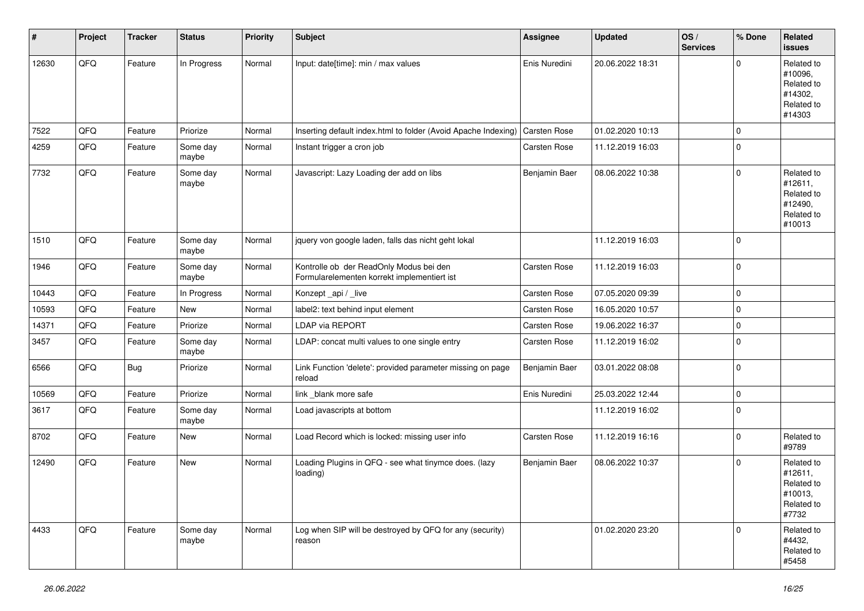| #     | Project | <b>Tracker</b> | <b>Status</b>     | <b>Priority</b> | Subject                                                                                | <b>Assignee</b>     | <b>Updated</b>   | OS/<br><b>Services</b> | % Done       | Related<br><b>issues</b>                                               |
|-------|---------|----------------|-------------------|-----------------|----------------------------------------------------------------------------------------|---------------------|------------------|------------------------|--------------|------------------------------------------------------------------------|
| 12630 | QFQ     | Feature        | In Progress       | Normal          | Input: date[time]: min / max values                                                    | Enis Nuredini       | 20.06.2022 18:31 |                        | $\Omega$     | Related to<br>#10096,<br>Related to<br>#14302,<br>Related to<br>#14303 |
| 7522  | QFQ     | Feature        | Priorize          | Normal          | Inserting default index.html to folder (Avoid Apache Indexing)                         | <b>Carsten Rose</b> | 01.02.2020 10:13 |                        | $\mathbf 0$  |                                                                        |
| 4259  | QFQ     | Feature        | Some day<br>maybe | Normal          | Instant trigger a cron job                                                             | Carsten Rose        | 11.12.2019 16:03 |                        | $\mathbf 0$  |                                                                        |
| 7732  | QFQ     | Feature        | Some day<br>maybe | Normal          | Javascript: Lazy Loading der add on libs                                               | Benjamin Baer       | 08.06.2022 10:38 |                        | $\Omega$     | Related to<br>#12611.<br>Related to<br>#12490,<br>Related to<br>#10013 |
| 1510  | QFQ     | Feature        | Some day<br>maybe | Normal          | jquery von google laden, falls das nicht geht lokal                                    |                     | 11.12.2019 16:03 |                        | $\mathbf 0$  |                                                                        |
| 1946  | QFQ     | Feature        | Some day<br>maybe | Normal          | Kontrolle ob der ReadOnly Modus bei den<br>Formularelementen korrekt implementiert ist | Carsten Rose        | 11.12.2019 16:03 |                        | $\mathbf{0}$ |                                                                        |
| 10443 | QFQ     | Feature        | In Progress       | Normal          | Konzept_api / _live                                                                    | Carsten Rose        | 07.05.2020 09:39 |                        | $\mathbf 0$  |                                                                        |
| 10593 | QFQ     | Feature        | New               | Normal          | label2: text behind input element                                                      | Carsten Rose        | 16.05.2020 10:57 |                        | $\mathbf 0$  |                                                                        |
| 14371 | QFQ     | Feature        | Priorize          | Normal          | <b>LDAP via REPORT</b>                                                                 | Carsten Rose        | 19.06.2022 16:37 |                        | $\mathbf 0$  |                                                                        |
| 3457  | QFQ     | Feature        | Some day<br>maybe | Normal          | LDAP: concat multi values to one single entry                                          | Carsten Rose        | 11.12.2019 16:02 |                        | $\mathbf 0$  |                                                                        |
| 6566  | QFQ     | Bug            | Priorize          | Normal          | Link Function 'delete': provided parameter missing on page<br>reload                   | Benjamin Baer       | 03.01.2022 08:08 |                        | $\mathbf 0$  |                                                                        |
| 10569 | QFQ     | Feature        | Priorize          | Normal          | link _blank more safe                                                                  | Enis Nuredini       | 25.03.2022 12:44 |                        | $\mathbf 0$  |                                                                        |
| 3617  | QFQ     | Feature        | Some day<br>maybe | Normal          | Load javascripts at bottom                                                             |                     | 11.12.2019 16:02 |                        | $\Omega$     |                                                                        |
| 8702  | QFQ     | Feature        | <b>New</b>        | Normal          | Load Record which is locked: missing user info                                         | Carsten Rose        | 11.12.2019 16:16 |                        | $\mathbf 0$  | Related to<br>#9789                                                    |
| 12490 | QFQ     | Feature        | <b>New</b>        | Normal          | Loading Plugins in QFQ - see what tinymce does. (lazy<br>loading)                      | Benjamin Baer       | 08.06.2022 10:37 |                        | $\Omega$     | Related to<br>#12611,<br>Related to<br>#10013,<br>Related to<br>#7732  |
| 4433  | QFQ     | Feature        | Some day<br>maybe | Normal          | Log when SIP will be destroyed by QFQ for any (security)<br>reason                     |                     | 01.02.2020 23:20 |                        | $\Omega$     | Related to<br>#4432,<br>Related to<br>#5458                            |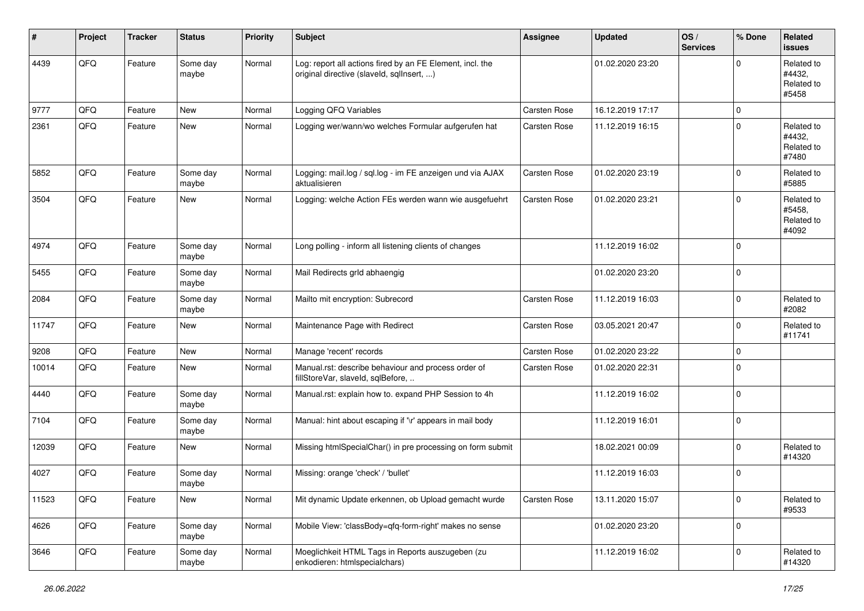| #     | Project | <b>Tracker</b> | <b>Status</b>     | <b>Priority</b> | <b>Subject</b>                                                                                         | <b>Assignee</b> | <b>Updated</b>   | OS/<br><b>Services</b> | % Done      | Related<br><b>issues</b>                    |
|-------|---------|----------------|-------------------|-----------------|--------------------------------------------------------------------------------------------------------|-----------------|------------------|------------------------|-------------|---------------------------------------------|
| 4439  | QFQ     | Feature        | Some day<br>maybe | Normal          | Log: report all actions fired by an FE Element, incl. the<br>original directive (slaveld, sqllnsert, ) |                 | 01.02.2020 23:20 |                        | $\mathbf 0$ | Related to<br>#4432.<br>Related to<br>#5458 |
| 9777  | QFQ     | Feature        | New               | Normal          | Logging QFQ Variables                                                                                  | Carsten Rose    | 16.12.2019 17:17 |                        | $\mathbf 0$ |                                             |
| 2361  | QFQ     | Feature        | New               | Normal          | Logging wer/wann/wo welches Formular aufgerufen hat                                                    | Carsten Rose    | 11.12.2019 16:15 |                        | $\mathbf 0$ | Related to<br>#4432.<br>Related to<br>#7480 |
| 5852  | QFQ     | Feature        | Some day<br>maybe | Normal          | Logging: mail.log / sql.log - im FE anzeigen und via AJAX<br>aktualisieren                             | Carsten Rose    | 01.02.2020 23:19 |                        | $\mathbf 0$ | Related to<br>#5885                         |
| 3504  | QFQ     | Feature        | New               | Normal          | Logging: welche Action FEs werden wann wie ausgefuehrt                                                 | Carsten Rose    | 01.02.2020 23:21 |                        | $\mathbf 0$ | Related to<br>#5458.<br>Related to<br>#4092 |
| 4974  | QFQ     | Feature        | Some day<br>maybe | Normal          | Long polling - inform all listening clients of changes                                                 |                 | 11.12.2019 16:02 |                        | $\mathbf 0$ |                                             |
| 5455  | QFQ     | Feature        | Some day<br>maybe | Normal          | Mail Redirects grld abhaengig                                                                          |                 | 01.02.2020 23:20 |                        | $\mathbf 0$ |                                             |
| 2084  | QFQ     | Feature        | Some day<br>maybe | Normal          | Mailto mit encryption: Subrecord                                                                       | Carsten Rose    | 11.12.2019 16:03 |                        | $\mathbf 0$ | Related to<br>#2082                         |
| 11747 | QFQ     | Feature        | New               | Normal          | Maintenance Page with Redirect                                                                         | Carsten Rose    | 03.05.2021 20:47 |                        | $\mathbf 0$ | Related to<br>#11741                        |
| 9208  | QFQ     | Feature        | New               | Normal          | Manage 'recent' records                                                                                | Carsten Rose    | 01.02.2020 23:22 |                        | $\mathbf 0$ |                                             |
| 10014 | QFQ     | Feature        | New               | Normal          | Manual.rst: describe behaviour and process order of<br>fillStoreVar, slaveId, sqlBefore,               | Carsten Rose    | 01.02.2020 22:31 |                        | $\Omega$    |                                             |
| 4440  | QFQ     | Feature        | Some day<br>maybe | Normal          | Manual.rst: explain how to. expand PHP Session to 4h                                                   |                 | 11.12.2019 16:02 |                        | $\pmb{0}$   |                                             |
| 7104  | QFQ     | Feature        | Some day<br>maybe | Normal          | Manual: hint about escaping if '\r' appears in mail body                                               |                 | 11.12.2019 16:01 |                        | $\mathbf 0$ |                                             |
| 12039 | QFQ     | Feature        | New               | Normal          | Missing htmlSpecialChar() in pre processing on form submit                                             |                 | 18.02.2021 00:09 |                        | $\mathbf 0$ | Related to<br>#14320                        |
| 4027  | QFQ     | Feature        | Some day<br>maybe | Normal          | Missing: orange 'check' / 'bullet'                                                                     |                 | 11.12.2019 16:03 |                        | $\mathbf 0$ |                                             |
| 11523 | QFQ     | Feature        | New               | Normal          | Mit dynamic Update erkennen, ob Upload gemacht wurde                                                   | Carsten Rose    | 13.11.2020 15:07 |                        | $\pmb{0}$   | Related to<br>#9533                         |
| 4626  | QFQ     | Feature        | Some day<br>maybe | Normal          | Mobile View: 'classBody=qfq-form-right' makes no sense                                                 |                 | 01.02.2020 23:20 |                        | $\mathbf 0$ |                                             |
| 3646  | QFQ     | Feature        | Some day<br>maybe | Normal          | Moeglichkeit HTML Tags in Reports auszugeben (zu<br>enkodieren: htmlspecialchars)                      |                 | 11.12.2019 16:02 |                        | $\mathbf 0$ | Related to<br>#14320                        |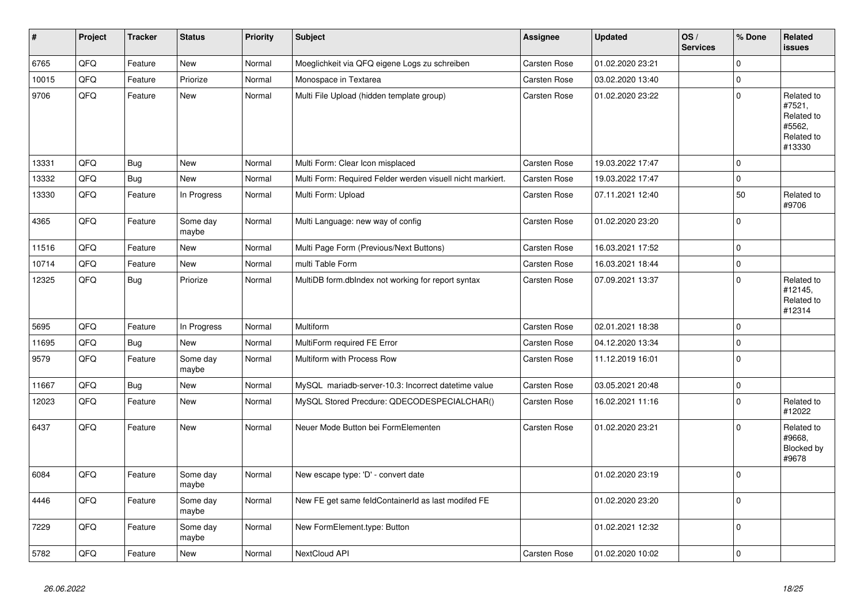| $\vert$ # | Project | <b>Tracker</b> | <b>Status</b>     | <b>Priority</b> | Subject                                                    | <b>Assignee</b>     | <b>Updated</b>   | OS/<br><b>Services</b> | % Done         | <b>Related</b><br><b>issues</b>                                      |
|-----------|---------|----------------|-------------------|-----------------|------------------------------------------------------------|---------------------|------------------|------------------------|----------------|----------------------------------------------------------------------|
| 6765      | QFQ     | Feature        | <b>New</b>        | Normal          | Moeglichkeit via QFQ eigene Logs zu schreiben              | Carsten Rose        | 01.02.2020 23:21 |                        | $\mathbf{0}$   |                                                                      |
| 10015     | QFQ     | Feature        | Priorize          | Normal          | Monospace in Textarea                                      | <b>Carsten Rose</b> | 03.02.2020 13:40 |                        | $\pmb{0}$      |                                                                      |
| 9706      | QFO     | Feature        | <b>New</b>        | Normal          | Multi File Upload (hidden template group)                  | Carsten Rose        | 01.02.2020 23:22 |                        | $\overline{0}$ | Related to<br>#7521,<br>Related to<br>#5562.<br>Related to<br>#13330 |
| 13331     | QFQ     | Bug            | <b>New</b>        | Normal          | Multi Form: Clear Icon misplaced                           | <b>Carsten Rose</b> | 19.03.2022 17:47 |                        | $\mathbf 0$    |                                                                      |
| 13332     | QFQ     | <b>Bug</b>     | <b>New</b>        | Normal          | Multi Form: Required Felder werden visuell nicht markiert. | <b>Carsten Rose</b> | 19.03.2022 17:47 |                        | $\pmb{0}$      |                                                                      |
| 13330     | QFO     | Feature        | In Progress       | Normal          | Multi Form: Upload                                         | Carsten Rose        | 07.11.2021 12:40 |                        | 50             | Related to<br>#9706                                                  |
| 4365      | QFQ     | Feature        | Some day<br>maybe | Normal          | Multi Language: new way of config                          | Carsten Rose        | 01.02.2020 23:20 |                        | $\overline{0}$ |                                                                      |
| 11516     | QFQ     | Feature        | <b>New</b>        | Normal          | Multi Page Form (Previous/Next Buttons)                    | Carsten Rose        | 16.03.2021 17:52 |                        | $\mathbf 0$    |                                                                      |
| 10714     | QFQ     | Feature        | <b>New</b>        | Normal          | multi Table Form                                           | Carsten Rose        | 16.03.2021 18:44 |                        | $\overline{0}$ |                                                                      |
| 12325     | QFQ     | Bug            | Priorize          | Normal          | MultiDB form.dbIndex not working for report syntax         | Carsten Rose        | 07.09.2021 13:37 |                        | $\mathbf 0$    | Related to<br>#12145,<br>Related to<br>#12314                        |
| 5695      | QFQ     | Feature        | In Progress       | Normal          | Multiform                                                  | <b>Carsten Rose</b> | 02.01.2021 18:38 |                        | $\overline{0}$ |                                                                      |
| 11695     | QFQ     | <b>Bug</b>     | <b>New</b>        | Normal          | MultiForm required FE Error                                | Carsten Rose        | 04.12.2020 13:34 |                        | $\pmb{0}$      |                                                                      |
| 9579      | QFQ     | Feature        | Some day<br>maybe | Normal          | Multiform with Process Row                                 | Carsten Rose        | 11.12.2019 16:01 |                        | $\mathbf 0$    |                                                                      |
| 11667     | QFQ     | <b>Bug</b>     | <b>New</b>        | Normal          | MySQL mariadb-server-10.3: Incorrect datetime value        | Carsten Rose        | 03.05.2021 20:48 |                        | $\overline{0}$ |                                                                      |
| 12023     | QFQ     | Feature        | <b>New</b>        | Normal          | MySQL Stored Precdure: QDECODESPECIALCHAR()                | Carsten Rose        | 16.02.2021 11:16 |                        | $\overline{0}$ | Related to<br>#12022                                                 |
| 6437      | QFQ     | Feature        | <b>New</b>        | Normal          | Neuer Mode Button bei FormElementen                        | Carsten Rose        | 01.02.2020 23:21 |                        | $\Omega$       | Related to<br>#9668,<br>Blocked by<br>#9678                          |
| 6084      | QFQ     | Feature        | Some day<br>maybe | Normal          | New escape type: 'D' - convert date                        |                     | 01.02.2020 23:19 |                        | $\overline{0}$ |                                                                      |
| 4446      | QFQ     | Feature        | Some day<br>maybe | Normal          | New FE get same feldContainerId as last modifed FE         |                     | 01.02.2020 23:20 |                        | $\mathbf 0$    |                                                                      |
| 7229      | QFQ     | Feature        | Some day<br>maybe | Normal          | New FormElement.type: Button                               |                     | 01.02.2021 12:32 |                        | $\overline{0}$ |                                                                      |
| 5782      | QFQ     | Feature        | <b>New</b>        | Normal          | NextCloud API                                              | Carsten Rose        | 01.02.2020 10:02 |                        | $\pmb{0}$      |                                                                      |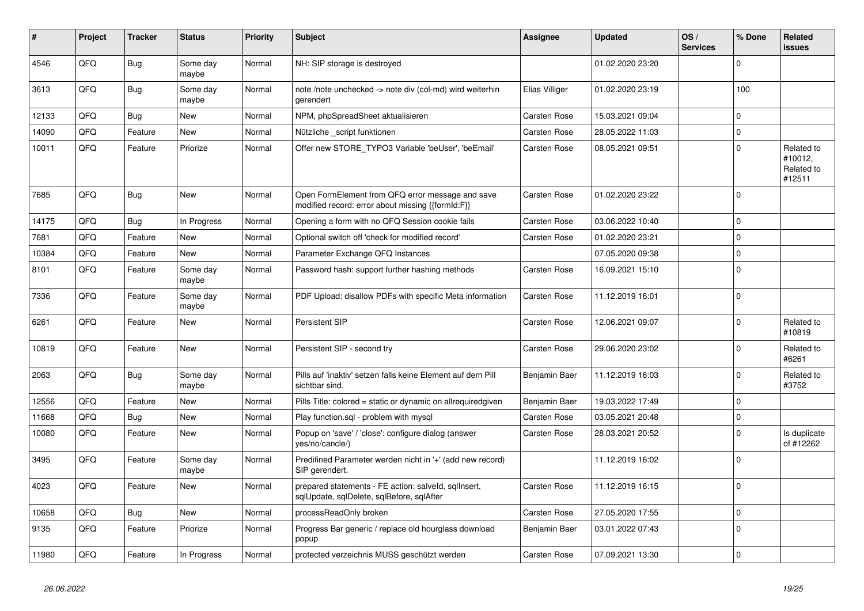| #     | Project | <b>Tracker</b> | <b>Status</b>     | <b>Priority</b> | <b>Subject</b>                                                                                        | <b>Assignee</b>     | <b>Updated</b>   | OS/<br><b>Services</b> | % Done         | Related<br><b>issues</b>                      |
|-------|---------|----------------|-------------------|-----------------|-------------------------------------------------------------------------------------------------------|---------------------|------------------|------------------------|----------------|-----------------------------------------------|
| 4546  | QFQ     | <b>Bug</b>     | Some day<br>maybe | Normal          | NH: SIP storage is destroyed                                                                          |                     | 01.02.2020 23:20 |                        | $\Omega$       |                                               |
| 3613  | QFQ     | Bug            | Some day<br>maybe | Normal          | note /note unchecked -> note div (col-md) wird weiterhin<br>gerendert                                 | Elias Villiger      | 01.02.2020 23:19 |                        | 100            |                                               |
| 12133 | QFQ     | <b>Bug</b>     | New               | Normal          | NPM, phpSpreadSheet aktualisieren                                                                     | Carsten Rose        | 15.03.2021 09:04 |                        | $\Omega$       |                                               |
| 14090 | QFQ     | Feature        | <b>New</b>        | Normal          | Nützliche _script funktionen                                                                          | Carsten Rose        | 28.05.2022 11:03 |                        | $\mathbf 0$    |                                               |
| 10011 | QFQ     | Feature        | Priorize          | Normal          | Offer new STORE TYPO3 Variable 'beUser', 'beEmail'                                                    | <b>Carsten Rose</b> | 08.05.2021 09:51 |                        | $\mathbf 0$    | Related to<br>#10012,<br>Related to<br>#12511 |
| 7685  | QFQ     | Bug            | <b>New</b>        | Normal          | Open FormElement from QFQ error message and save<br>modified record: error about missing {{formId:F}} | Carsten Rose        | 01.02.2020 23:22 |                        | $\overline{0}$ |                                               |
| 14175 | QFQ     | <b>Bug</b>     | In Progress       | Normal          | Opening a form with no QFQ Session cookie fails                                                       | Carsten Rose        | 03.06.2022 10:40 |                        | $\Omega$       |                                               |
| 7681  | QFQ     | Feature        | New               | Normal          | Optional switch off 'check for modified record'                                                       | Carsten Rose        | 01.02.2020 23:21 |                        | $\mathbf 0$    |                                               |
| 10384 | QFQ     | Feature        | <b>New</b>        | Normal          | Parameter Exchange QFQ Instances                                                                      |                     | 07.05.2020 09:38 |                        | $\overline{0}$ |                                               |
| 8101  | QFQ     | Feature        | Some day<br>maybe | Normal          | Password hash: support further hashing methods                                                        | Carsten Rose        | 16.09.2021 15:10 |                        | $\overline{0}$ |                                               |
| 7336  | QFQ     | Feature        | Some day<br>maybe | Normal          | PDF Upload: disallow PDFs with specific Meta information                                              | Carsten Rose        | 11.12.2019 16:01 |                        | $\mathbf 0$    |                                               |
| 6261  | QFQ     | Feature        | New               | Normal          | Persistent SIP                                                                                        | <b>Carsten Rose</b> | 12.06.2021 09:07 |                        | $\Omega$       | Related to<br>#10819                          |
| 10819 | QFQ     | Feature        | <b>New</b>        | Normal          | Persistent SIP - second try                                                                           | Carsten Rose        | 29.06.2020 23:02 |                        | $\mathbf 0$    | Related to<br>#6261                           |
| 2063  | QFQ     | <b>Bug</b>     | Some day<br>maybe | Normal          | Pills auf 'inaktiv' setzen falls keine Element auf dem Pill<br>sichtbar sind.                         | Benjamin Baer       | 11.12.2019 16:03 |                        | $\mathbf 0$    | Related to<br>#3752                           |
| 12556 | QFQ     | Feature        | <b>New</b>        | Normal          | Pills Title: colored = static or dynamic on allrequiredgiven                                          | Benjamin Baer       | 19.03.2022 17:49 |                        | $\mathbf 0$    |                                               |
| 11668 | QFQ     | Bug            | New               | Normal          | Play function.sql - problem with mysql                                                                | Carsten Rose        | 03.05.2021 20:48 |                        | $\pmb{0}$      |                                               |
| 10080 | QFQ     | Feature        | New               | Normal          | Popup on 'save' / 'close': configure dialog (answer<br>yes/no/cancle/)                                | Carsten Rose        | 28.03.2021 20:52 |                        | $\mathbf 0$    | Is duplicate<br>of #12262                     |
| 3495  | QFQ     | Feature        | Some day<br>maybe | Normal          | Predifined Parameter werden nicht in '+' (add new record)<br>SIP gerendert.                           |                     | 11.12.2019 16:02 |                        | $\mathbf 0$    |                                               |
| 4023  | QFQ     | Feature        | <b>New</b>        | Normal          | prepared statements - FE action: salveld, sqllnsert,<br>sqlUpdate, sqlDelete, sqlBefore, sqlAfter     | Carsten Rose        | 11.12.2019 16:15 |                        | $\Omega$       |                                               |
| 10658 | QFQ     | <b>Bug</b>     | <b>New</b>        | Normal          | processReadOnly broken                                                                                | Carsten Rose        | 27.05.2020 17:55 |                        | $\mathbf 0$    |                                               |
| 9135  | QFQ     | Feature        | Priorize          | Normal          | Progress Bar generic / replace old hourglass download<br>popup                                        | Benjamin Baer       | 03.01.2022 07:43 |                        | $\overline{0}$ |                                               |
| 11980 | QFQ     | Feature        | In Progress       | Normal          | protected verzeichnis MUSS geschützt werden                                                           | Carsten Rose        | 07.09.2021 13:30 |                        | $\overline{0}$ |                                               |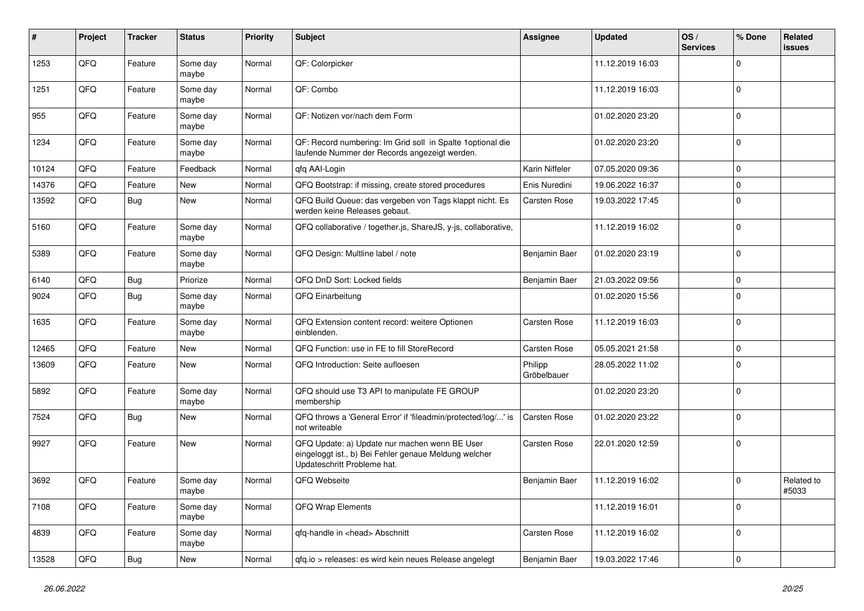| #     | Project | <b>Tracker</b> | <b>Status</b>     | <b>Priority</b> | Subject                                                                                                                               | <b>Assignee</b>        | <b>Updated</b>   | OS/<br><b>Services</b> | % Done      | Related<br><b>issues</b> |
|-------|---------|----------------|-------------------|-----------------|---------------------------------------------------------------------------------------------------------------------------------------|------------------------|------------------|------------------------|-------------|--------------------------|
| 1253  | QFQ     | Feature        | Some day<br>maybe | Normal          | QF: Colorpicker                                                                                                                       |                        | 11.12.2019 16:03 |                        | 0           |                          |
| 1251  | QFQ     | Feature        | Some day<br>maybe | Normal          | QF: Combo                                                                                                                             |                        | 11.12.2019 16:03 |                        | 0           |                          |
| 955   | QFQ     | Feature        | Some day<br>maybe | Normal          | QF: Notizen vor/nach dem Form                                                                                                         |                        | 01.02.2020 23:20 |                        | 0           |                          |
| 1234  | QFQ     | Feature        | Some day<br>maybe | Normal          | QF: Record numbering: Im Grid soll in Spalte 1optional die<br>laufende Nummer der Records angezeigt werden.                           |                        | 01.02.2020 23:20 |                        | 0           |                          |
| 10124 | QFQ     | Feature        | Feedback          | Normal          | qfq AAI-Login                                                                                                                         | Karin Niffeler         | 07.05.2020 09:36 |                        | 0           |                          |
| 14376 | QFQ     | Feature        | New               | Normal          | QFQ Bootstrap: if missing, create stored procedures                                                                                   | Enis Nuredini          | 19.06.2022 16:37 |                        | $\Omega$    |                          |
| 13592 | QFQ     | <b>Bug</b>     | New               | Normal          | QFQ Build Queue: das vergeben von Tags klappt nicht. Es<br>werden keine Releases gebaut.                                              | Carsten Rose           | 19.03.2022 17:45 |                        | 0           |                          |
| 5160  | QFQ     | Feature        | Some day<br>maybe | Normal          | QFQ collaborative / together.js, ShareJS, y-js, collaborative,                                                                        |                        | 11.12.2019 16:02 |                        | 0           |                          |
| 5389  | QFQ     | Feature        | Some day<br>maybe | Normal          | QFQ Design: Multline label / note                                                                                                     | Benjamin Baer          | 01.02.2020 23:19 |                        | $\Omega$    |                          |
| 6140  | QFQ     | <b>Bug</b>     | Priorize          | Normal          | QFQ DnD Sort: Locked fields                                                                                                           | Benjamin Baer          | 21.03.2022 09:56 |                        | $\Omega$    |                          |
| 9024  | QFQ     | <b>Bug</b>     | Some day<br>maybe | Normal          | QFQ Einarbeitung                                                                                                                      |                        | 01.02.2020 15:56 |                        | $\Omega$    |                          |
| 1635  | QFQ     | Feature        | Some day<br>maybe | Normal          | QFQ Extension content record: weitere Optionen<br>einblenden.                                                                         | <b>Carsten Rose</b>    | 11.12.2019 16:03 |                        | 0           |                          |
| 12465 | QFQ     | Feature        | New               | Normal          | QFQ Function: use in FE to fill StoreRecord                                                                                           | Carsten Rose           | 05.05.2021 21:58 |                        | 0           |                          |
| 13609 | QFQ     | Feature        | <b>New</b>        | Normal          | QFQ Introduction: Seite aufloesen                                                                                                     | Philipp<br>Gröbelbauer | 28.05.2022 11:02 |                        | $\Omega$    |                          |
| 5892  | QFQ     | Feature        | Some day<br>maybe | Normal          | QFQ should use T3 API to manipulate FE GROUP<br>membership                                                                            |                        | 01.02.2020 23:20 |                        | $\Omega$    |                          |
| 7524  | QFQ     | <b>Bug</b>     | <b>New</b>        | Normal          | QFQ throws a 'General Error' if 'fileadmin/protected/log/' is<br>not writeable                                                        | Carsten Rose           | 01.02.2020 23:22 |                        | $\Omega$    |                          |
| 9927  | QFQ     | Feature        | <b>New</b>        | Normal          | QFQ Update: a) Update nur machen wenn BE User<br>eingeloggt ist., b) Bei Fehler genaue Meldung welcher<br>Updateschritt Probleme hat. | Carsten Rose           | 22.01.2020 12:59 |                        | 0           |                          |
| 3692  | QFQ     | Feature        | Some day<br>maybe | Normal          | QFQ Webseite                                                                                                                          | Benjamin Baer          | 11.12.2019 16:02 |                        | $\Omega$    | Related to<br>#5033      |
| 7108  | QFQ     | Feature        | Some day<br>maybe | Normal          | <b>QFQ Wrap Elements</b>                                                                                                              |                        | 11.12.2019 16:01 |                        | 0           |                          |
| 4839  | QFQ     | Feature        | Some day<br>maybe | Normal          | qfq-handle in <head> Abschnitt</head>                                                                                                 | Carsten Rose           | 11.12.2019 16:02 |                        | $\mathbf 0$ |                          |
| 13528 | QFQ     | Bug            | New               | Normal          | gfg.io > releases: es wird kein neues Release angelegt                                                                                | Benjamin Baer          | 19.03.2022 17:46 |                        | 0           |                          |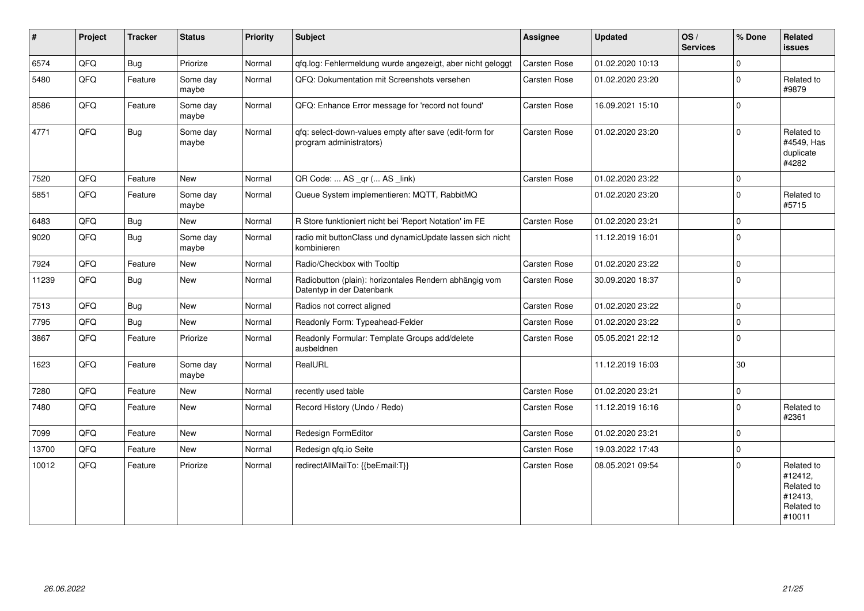| #     | Project | <b>Tracker</b> | <b>Status</b>     | <b>Priority</b> | <b>Subject</b>                                                                      | <b>Assignee</b> | <b>Updated</b>   | OS/<br><b>Services</b> | % Done         | Related<br><b>issues</b>                                               |
|-------|---------|----------------|-------------------|-----------------|-------------------------------------------------------------------------------------|-----------------|------------------|------------------------|----------------|------------------------------------------------------------------------|
| 6574  | QFQ     | Bug            | Priorize          | Normal          | qfq.log: Fehlermeldung wurde angezeigt, aber nicht geloggt                          | Carsten Rose    | 01.02.2020 10:13 |                        | $\mathbf 0$    |                                                                        |
| 5480  | QFQ     | Feature        | Some day<br>maybe | Normal          | QFQ: Dokumentation mit Screenshots versehen                                         | Carsten Rose    | 01.02.2020 23:20 |                        | $\mathbf 0$    | Related to<br>#9879                                                    |
| 8586  | QFQ     | Feature        | Some day<br>maybe | Normal          | QFQ: Enhance Error message for 'record not found'                                   | Carsten Rose    | 16.09.2021 15:10 |                        | $\mathbf 0$    |                                                                        |
| 4771  | QFQ     | Bug            | Some day<br>maybe | Normal          | qfq: select-down-values empty after save (edit-form for<br>program administrators)  | Carsten Rose    | 01.02.2020 23:20 |                        | $\mathbf 0$    | Related to<br>#4549, Has<br>duplicate<br>#4282                         |
| 7520  | QFQ     | Feature        | <b>New</b>        | Normal          | QR Code:  AS _qr ( AS _link)                                                        | Carsten Rose    | 01.02.2020 23:22 |                        | $\overline{0}$ |                                                                        |
| 5851  | QFQ     | Feature        | Some day<br>maybe | Normal          | Queue System implementieren: MQTT, RabbitMQ                                         |                 | 01.02.2020 23:20 |                        | $\Omega$       | Related to<br>#5715                                                    |
| 6483  | QFQ     | <b>Bug</b>     | <b>New</b>        | Normal          | R Store funktioniert nicht bei 'Report Notation' im FE                              | Carsten Rose    | 01.02.2020 23:21 |                        | $\Omega$       |                                                                        |
| 9020  | QFQ     | <b>Bug</b>     | Some day<br>maybe | Normal          | radio mit buttonClass und dynamicUpdate lassen sich nicht<br>kombinieren            |                 | 11.12.2019 16:01 |                        | $\overline{0}$ |                                                                        |
| 7924  | QFQ     | Feature        | <b>New</b>        | Normal          | Radio/Checkbox with Tooltip                                                         | Carsten Rose    | 01.02.2020 23:22 |                        | $\mathbf 0$    |                                                                        |
| 11239 | QFQ     | Bug            | <b>New</b>        | Normal          | Radiobutton (plain): horizontales Rendern abhängig vom<br>Datentyp in der Datenbank | Carsten Rose    | 30.09.2020 18:37 |                        | $\overline{0}$ |                                                                        |
| 7513  | QFQ     | Bug            | New               | Normal          | Radios not correct aligned                                                          | Carsten Rose    | 01.02.2020 23:22 |                        | $\overline{0}$ |                                                                        |
| 7795  | QFQ     | Bug            | <b>New</b>        | Normal          | Readonly Form: Typeahead-Felder                                                     | Carsten Rose    | 01.02.2020 23:22 |                        | $\overline{0}$ |                                                                        |
| 3867  | QFQ     | Feature        | Priorize          | Normal          | Readonly Formular: Template Groups add/delete<br>ausbeldnen                         | Carsten Rose    | 05.05.2021 22:12 |                        | $\overline{0}$ |                                                                        |
| 1623  | QFQ     | Feature        | Some day<br>maybe | Normal          | RealURL                                                                             |                 | 11.12.2019 16:03 |                        | 30             |                                                                        |
| 7280  | QFQ     | Feature        | <b>New</b>        | Normal          | recently used table                                                                 | Carsten Rose    | 01.02.2020 23:21 |                        | $\mathbf{0}$   |                                                                        |
| 7480  | QFQ     | Feature        | <b>New</b>        | Normal          | Record History (Undo / Redo)                                                        | Carsten Rose    | 11.12.2019 16:16 |                        | $\mathbf 0$    | Related to<br>#2361                                                    |
| 7099  | QFQ     | Feature        | New               | Normal          | Redesign FormEditor                                                                 | Carsten Rose    | 01.02.2020 23:21 |                        | $\mathbf{0}$   |                                                                        |
| 13700 | QFQ     | Feature        | <b>New</b>        | Normal          | Redesign qfq.io Seite                                                               | Carsten Rose    | 19.03.2022 17:43 |                        | $\overline{0}$ |                                                                        |
| 10012 | QFQ     | Feature        | Priorize          | Normal          | redirectAllMailTo: {{beEmail:T}}                                                    | Carsten Rose    | 08.05.2021 09:54 |                        | $\mathbf 0$    | Related to<br>#12412,<br>Related to<br>#12413,<br>Related to<br>#10011 |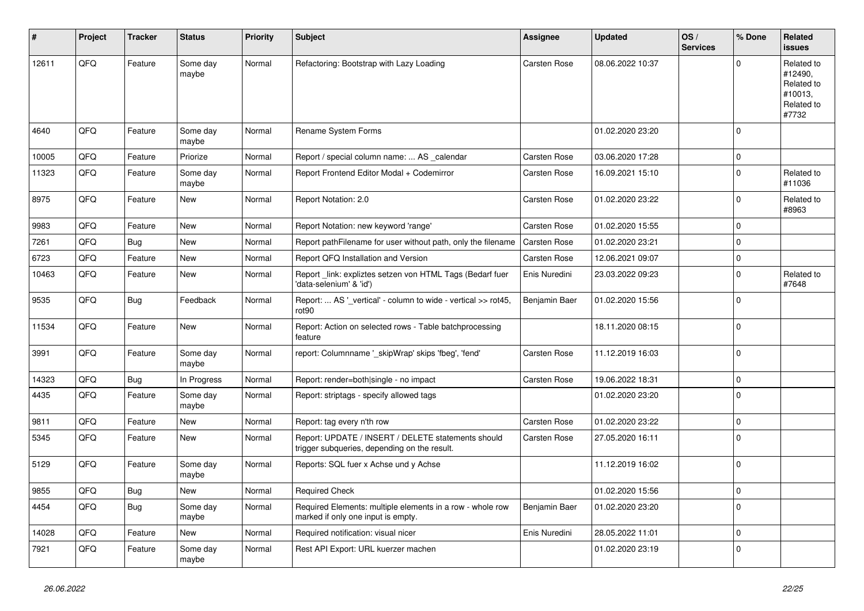| ∦     | Project | <b>Tracker</b> | <b>Status</b>     | <b>Priority</b> | Subject                                                                                            | <b>Assignee</b> | <b>Updated</b>   | OS/<br><b>Services</b> | % Done       | Related<br>issues                                                     |
|-------|---------|----------------|-------------------|-----------------|----------------------------------------------------------------------------------------------------|-----------------|------------------|------------------------|--------------|-----------------------------------------------------------------------|
| 12611 | QFQ     | Feature        | Some day<br>maybe | Normal          | Refactoring: Bootstrap with Lazy Loading                                                           | Carsten Rose    | 08.06.2022 10:37 |                        | $\Omega$     | Related to<br>#12490,<br>Related to<br>#10013,<br>Related to<br>#7732 |
| 4640  | QFQ     | Feature        | Some day<br>maybe | Normal          | Rename System Forms                                                                                |                 | 01.02.2020 23:20 |                        | $\mathbf 0$  |                                                                       |
| 10005 | QFQ     | Feature        | Priorize          | Normal          | Report / special column name:  AS _calendar                                                        | Carsten Rose    | 03.06.2020 17:28 |                        | $\mathbf 0$  |                                                                       |
| 11323 | QFQ     | Feature        | Some day<br>maybe | Normal          | Report Frontend Editor Modal + Codemirror                                                          | Carsten Rose    | 16.09.2021 15:10 |                        | $\mathbf 0$  | Related to<br>#11036                                                  |
| 8975  | QFQ     | Feature        | New               | Normal          | Report Notation: 2.0                                                                               | Carsten Rose    | 01.02.2020 23:22 |                        | $\mathbf 0$  | Related to<br>#8963                                                   |
| 9983  | QFQ     | Feature        | <b>New</b>        | Normal          | Report Notation: new keyword 'range'                                                               | Carsten Rose    | 01.02.2020 15:55 |                        | $\mathbf 0$  |                                                                       |
| 7261  | QFQ     | Bug            | <b>New</b>        | Normal          | Report pathFilename for user without path, only the filename                                       | Carsten Rose    | 01.02.2020 23:21 |                        | $\mathbf 0$  |                                                                       |
| 6723  | QFQ     | Feature        | New               | Normal          | Report QFQ Installation and Version                                                                | Carsten Rose    | 12.06.2021 09:07 |                        | $\mathbf 0$  |                                                                       |
| 10463 | QFQ     | Feature        | <b>New</b>        | Normal          | Report_link: expliztes setzen von HTML Tags (Bedarf fuer<br>'data-selenium' & 'id')                | Enis Nuredini   | 23.03.2022 09:23 |                        | $\mathbf 0$  | Related to<br>#7648                                                   |
| 9535  | QFQ     | <b>Bug</b>     | Feedback          | Normal          | Report:  AS '_vertical' - column to wide - vertical >> rot45,<br>rot90                             | Benjamin Baer   | 01.02.2020 15:56 |                        | $\mathbf 0$  |                                                                       |
| 11534 | QFQ     | Feature        | <b>New</b>        | Normal          | Report: Action on selected rows - Table batchprocessing<br>feature                                 |                 | 18.11.2020 08:15 |                        | $\mathbf 0$  |                                                                       |
| 3991  | QFQ     | Feature        | Some day<br>maybe | Normal          | report: Columnname '_skipWrap' skips 'fbeg', 'fend'                                                | Carsten Rose    | 11.12.2019 16:03 |                        | $\mathbf 0$  |                                                                       |
| 14323 | QFQ     | Bug            | In Progress       | Normal          | Report: render=both single - no impact                                                             | Carsten Rose    | 19.06.2022 18:31 |                        | $\mathbf 0$  |                                                                       |
| 4435  | QFQ     | Feature        | Some day<br>maybe | Normal          | Report: striptags - specify allowed tags                                                           |                 | 01.02.2020 23:20 |                        | $\mathbf 0$  |                                                                       |
| 9811  | QFQ     | Feature        | New               | Normal          | Report: tag every n'th row                                                                         | Carsten Rose    | 01.02.2020 23:22 |                        | $\mathbf 0$  |                                                                       |
| 5345  | QFQ     | Feature        | <b>New</b>        | Normal          | Report: UPDATE / INSERT / DELETE statements should<br>trigger subqueries, depending on the result. | Carsten Rose    | 27.05.2020 16:11 |                        | $\Omega$     |                                                                       |
| 5129  | QFQ     | Feature        | Some day<br>maybe | Normal          | Reports: SQL fuer x Achse und y Achse                                                              |                 | 11.12.2019 16:02 |                        | $\mathbf 0$  |                                                                       |
| 9855  | QFG     | <b>Bug</b>     | New               | Normal          | <b>Required Check</b>                                                                              |                 | 01.02.2020 15:56 |                        | $\mathsf{U}$ |                                                                       |
| 4454  | QFQ     | <b>Bug</b>     | Some day<br>maybe | Normal          | Required Elements: multiple elements in a row - whole row<br>marked if only one input is empty.    | Benjamin Baer   | 01.02.2020 23:20 |                        | $\mathbf 0$  |                                                                       |
| 14028 | QFO     | Feature        | New               | Normal          | Required notification: visual nicer                                                                | Enis Nuredini   | 28.05.2022 11:01 |                        | $\mathbf 0$  |                                                                       |
| 7921  | QFQ     | Feature        | Some day<br>maybe | Normal          | Rest API Export: URL kuerzer machen                                                                |                 | 01.02.2020 23:19 |                        | $\mathbf 0$  |                                                                       |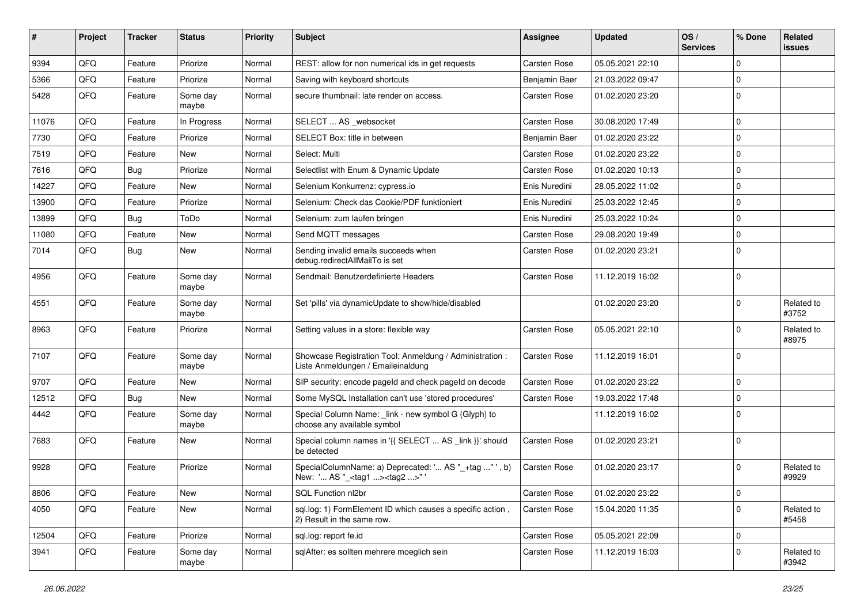| $\pmb{\#}$ | Project | <b>Tracker</b> | <b>Status</b>     | <b>Priority</b> | Subject                                                                                           | <b>Assignee</b> | <b>Updated</b>   | OS/<br><b>Services</b> | % Done         | Related<br><b>issues</b> |
|------------|---------|----------------|-------------------|-----------------|---------------------------------------------------------------------------------------------------|-----------------|------------------|------------------------|----------------|--------------------------|
| 9394       | QFQ     | Feature        | Priorize          | Normal          | REST: allow for non numerical ids in get requests                                                 | Carsten Rose    | 05.05.2021 22:10 |                        | 0              |                          |
| 5366       | QFQ     | Feature        | Priorize          | Normal          | Saving with keyboard shortcuts                                                                    | Benjamin Baer   | 21.03.2022 09:47 |                        | 0              |                          |
| 5428       | QFQ     | Feature        | Some day<br>maybe | Normal          | secure thumbnail: late render on access.                                                          | Carsten Rose    | 01.02.2020 23:20 |                        | $\Omega$       |                          |
| 11076      | QFQ     | Feature        | In Progress       | Normal          | SELECT  AS _websocket                                                                             | Carsten Rose    | 30.08.2020 17:49 |                        | $\Omega$       |                          |
| 7730       | QFQ     | Feature        | Priorize          | Normal          | SELECT Box: title in between                                                                      | Benjamin Baer   | 01.02.2020 23:22 |                        | 0              |                          |
| 7519       | QFQ     | Feature        | New               | Normal          | Select: Multi                                                                                     | Carsten Rose    | 01.02.2020 23:22 |                        | 0              |                          |
| 7616       | QFQ     | Bug            | Priorize          | Normal          | Selectlist with Enum & Dynamic Update                                                             | Carsten Rose    | 01.02.2020 10:13 |                        | $\Omega$       |                          |
| 14227      | QFQ     | Feature        | New               | Normal          | Selenium Konkurrenz: cypress.io                                                                   | Enis Nuredini   | 28.05.2022 11:02 |                        | 0              |                          |
| 13900      | QFQ     | Feature        | Priorize          | Normal          | Selenium: Check das Cookie/PDF funktioniert                                                       | Enis Nuredini   | 25.03.2022 12:45 |                        | 0              |                          |
| 13899      | QFQ     | Bug            | ToDo              | Normal          | Selenium: zum laufen bringen                                                                      | Enis Nuredini   | 25.03.2022 10:24 |                        | $\Omega$       |                          |
| 11080      | QFQ     | Feature        | New               | Normal          | Send MQTT messages                                                                                | Carsten Rose    | 29.08.2020 19:49 |                        | 0              |                          |
| 7014       | QFQ     | Bug            | New               | Normal          | Sending invalid emails succeeds when<br>debug.redirectAllMailTo is set                            | Carsten Rose    | 01.02.2020 23:21 |                        | $\Omega$       |                          |
| 4956       | QFQ     | Feature        | Some day<br>maybe | Normal          | Sendmail: Benutzerdefinierte Headers                                                              | Carsten Rose    | 11.12.2019 16:02 |                        | $\Omega$       |                          |
| 4551       | QFQ     | Feature        | Some day<br>maybe | Normal          | Set 'pills' via dynamicUpdate to show/hide/disabled                                               |                 | 01.02.2020 23:20 |                        | $\Omega$       | Related to<br>#3752      |
| 8963       | QFQ     | Feature        | Priorize          | Normal          | Setting values in a store: flexible way                                                           | Carsten Rose    | 05.05.2021 22:10 |                        | $\Omega$       | Related to<br>#8975      |
| 7107       | QFQ     | Feature        | Some day<br>maybe | Normal          | Showcase Registration Tool: Anmeldung / Administration :<br>Liste Anmeldungen / Emaileinaldung    | Carsten Rose    | 11.12.2019 16:01 |                        | $\Omega$       |                          |
| 9707       | QFQ     | Feature        | New               | Normal          | SIP security: encode pageld and check pageld on decode                                            | Carsten Rose    | 01.02.2020 23:22 |                        | 0              |                          |
| 12512      | QFQ     | Bug            | New               | Normal          | Some MySQL Installation can't use 'stored procedures'                                             | Carsten Rose    | 19.03.2022 17:48 |                        | 0              |                          |
| 4442       | QFQ     | Feature        | Some day<br>maybe | Normal          | Special Column Name: _link - new symbol G (Glyph) to<br>choose any available symbol               |                 | 11.12.2019 16:02 |                        | $\Omega$       |                          |
| 7683       | QFQ     | Feature        | New               | Normal          | Special column names in '{{ SELECT  AS _link }}' should<br>be detected                            | Carsten Rose    | 01.02.2020 23:21 |                        | $\Omega$       |                          |
| 9928       | QFQ     | Feature        | Priorize          | Normal          | SpecialColumnName: a) Deprecated: ' AS "_+tag " ', b)<br>New: ' AS "_ <tag1><tag2>"</tag2></tag1> | Carsten Rose    | 01.02.2020 23:17 |                        | $\Omega$       | Related to<br>#9929      |
| 8806       | QFQ     | Feature        | New               | Normal          | SQL Function nl2br                                                                                | Carsten Rose    | 01.02.2020 23:22 |                        | $\overline{0}$ |                          |
| 4050       | QFQ     | Feature        | New               | Normal          | sql.log: 1) FormElement ID which causes a specific action,<br>2) Result in the same row.          | Carsten Rose    | 15.04.2020 11:35 |                        | 0              | Related to<br>#5458      |
| 12504      | QFQ     | Feature        | Priorize          | Normal          | sql.log: report fe.id                                                                             | Carsten Rose    | 05.05.2021 22:09 |                        | $\mathbf 0$    |                          |
| 3941       | QFQ     | Feature        | Some day<br>maybe | Normal          | sqlAfter: es sollten mehrere moeglich sein                                                        | Carsten Rose    | 11.12.2019 16:03 |                        | 0              | Related to<br>#3942      |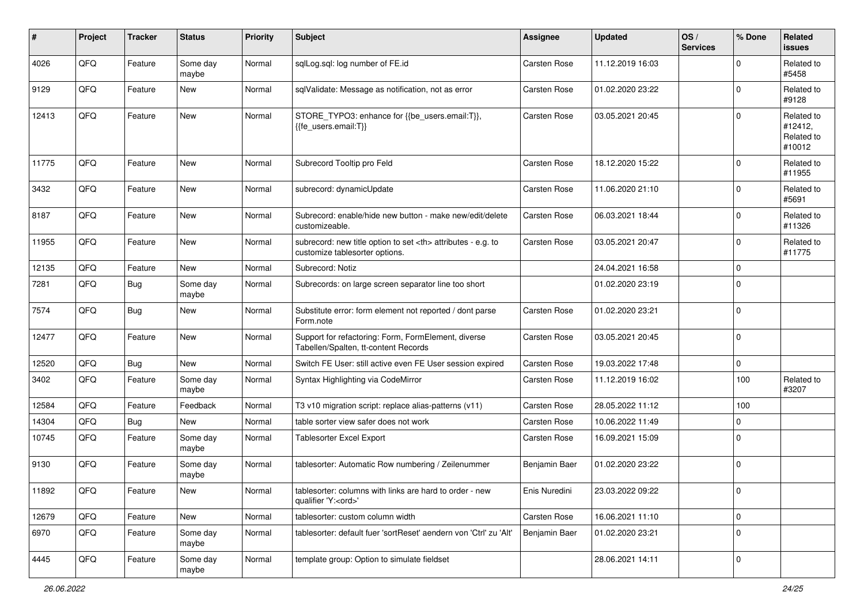| $\pmb{\#}$ | Project | <b>Tracker</b> | <b>Status</b>     | <b>Priority</b> | <b>Subject</b>                                                                                       | <b>Assignee</b>                                        | <b>Updated</b>   | OS/<br><b>Services</b> | % Done       | Related<br>issues                             |                      |
|------------|---------|----------------|-------------------|-----------------|------------------------------------------------------------------------------------------------------|--------------------------------------------------------|------------------|------------------------|--------------|-----------------------------------------------|----------------------|
| 4026       | QFQ     | Feature        | Some day<br>maybe | Normal          | sqlLog.sql: log number of FE.id                                                                      | Carsten Rose                                           | 11.12.2019 16:03 |                        | $\Omega$     | Related to<br>#5458                           |                      |
| 9129       | QFQ     | Feature        | New               | Normal          | sqlValidate: Message as notification, not as error                                                   | Carsten Rose                                           | 01.02.2020 23:22 |                        | $\mathbf 0$  | Related to<br>#9128                           |                      |
| 12413      | QFQ     | Feature        | <b>New</b>        | Normal          | STORE_TYPO3: enhance for {{be_users.email:T}},<br>{{fe users.email:T}}                               | Carsten Rose                                           | 03.05.2021 20:45 |                        | $\Omega$     | Related to<br>#12412,<br>Related to<br>#10012 |                      |
| 11775      | QFQ     | Feature        | <b>New</b>        | Normal          | Subrecord Tooltip pro Feld                                                                           | <b>Carsten Rose</b>                                    | 18.12.2020 15:22 |                        | $\mathbf 0$  | Related to<br>#11955                          |                      |
| 3432       | QFQ     | Feature        | <b>New</b>        | Normal          | subrecord: dynamicUpdate                                                                             | Carsten Rose                                           | 11.06.2020 21:10 |                        | $\Omega$     | Related to<br>#5691                           |                      |
| 8187       | QFQ     | Feature        | New               | Normal          | Subrecord: enable/hide new button - make new/edit/delete<br>customizeable.                           | Carsten Rose                                           | 06.03.2021 18:44 |                        | $\mathbf 0$  | Related to<br>#11326                          |                      |
| 11955      | QFQ     | Feature        | New               | Normal          | subrecord: new title option to set <th> attributes - e.g. to<br/>customize tablesorter options.</th> | attributes - e.g. to<br>customize tablesorter options. | Carsten Rose     | 03.05.2021 20:47       |              | $\mathbf 0$                                   | Related to<br>#11775 |
| 12135      | QFQ     | Feature        | New               | Normal          | Subrecord: Notiz                                                                                     |                                                        | 24.04.2021 16:58 |                        | $\mathbf 0$  |                                               |                      |
| 7281       | QFQ     | Bug            | Some day<br>maybe | Normal          | Subrecords: on large screen separator line too short                                                 |                                                        | 01.02.2020 23:19 |                        | $\mathbf 0$  |                                               |                      |
| 7574       | QFQ     | Bug            | <b>New</b>        | Normal          | Substitute error: form element not reported / dont parse<br>Form.note                                | <b>Carsten Rose</b>                                    | 01.02.2020 23:21 |                        | $\mathbf 0$  |                                               |                      |
| 12477      | QFQ     | Feature        | <b>New</b>        | Normal          | Support for refactoring: Form, FormElement, diverse<br>Tabellen/Spalten, tt-content Records          | Carsten Rose                                           | 03.05.2021 20:45 |                        | $\Omega$     |                                               |                      |
| 12520      | QFQ     | Bug            | <b>New</b>        | Normal          | Switch FE User: still active even FE User session expired                                            | Carsten Rose                                           | 19.03.2022 17:48 |                        | $\mathbf 0$  |                                               |                      |
| 3402       | QFQ     | Feature        | Some day<br>maybe | Normal          | Syntax Highlighting via CodeMirror                                                                   | Carsten Rose                                           | 11.12.2019 16:02 |                        | 100          | Related to<br>#3207                           |                      |
| 12584      | QFQ     | Feature        | Feedback          | Normal          | T3 v10 migration script: replace alias-patterns (v11)                                                | Carsten Rose                                           | 28.05.2022 11:12 |                        | 100          |                                               |                      |
| 14304      | QFQ     | Bug            | <b>New</b>        | Normal          | table sorter view safer does not work                                                                | Carsten Rose                                           | 10.06.2022 11:49 |                        | $\mathbf 0$  |                                               |                      |
| 10745      | QFQ     | Feature        | Some day<br>maybe | Normal          | Tablesorter Excel Export                                                                             | Carsten Rose                                           | 16.09.2021 15:09 |                        | $\mathbf 0$  |                                               |                      |
| 9130       | QFQ     | Feature        | Some day<br>maybe | Normal          | tablesorter: Automatic Row numbering / Zeilenummer                                                   | Benjamin Baer                                          | 01.02.2020 23:22 |                        | $\mathbf 0$  |                                               |                      |
| 11892      | QFG     | I Feature      | New               | Normal          | tablesorter: columns with links are hard to order - new<br>qualifier 'Y: <ord>'</ord>                | Enis Nuredini                                          | 23.03.2022 09:22 |                        | $\pmb{0}$    |                                               |                      |
| 12679      | QFQ     | Feature        | New               | Normal          | tablesorter: custom column width                                                                     | Carsten Rose                                           | 16.06.2021 11:10 |                        | $\mathbf{0}$ |                                               |                      |
| 6970       | QFQ     | Feature        | Some day<br>maybe | Normal          | tablesorter: default fuer 'sortReset' aendern von 'Ctrl' zu 'Alt'                                    | Benjamin Baer                                          | 01.02.2020 23:21 |                        | $\mathbf 0$  |                                               |                      |
| 4445       | QFO     | Feature        | Some day<br>maybe | Normal          | template group: Option to simulate fieldset                                                          |                                                        | 28.06.2021 14:11 |                        | $\mathbf 0$  |                                               |                      |